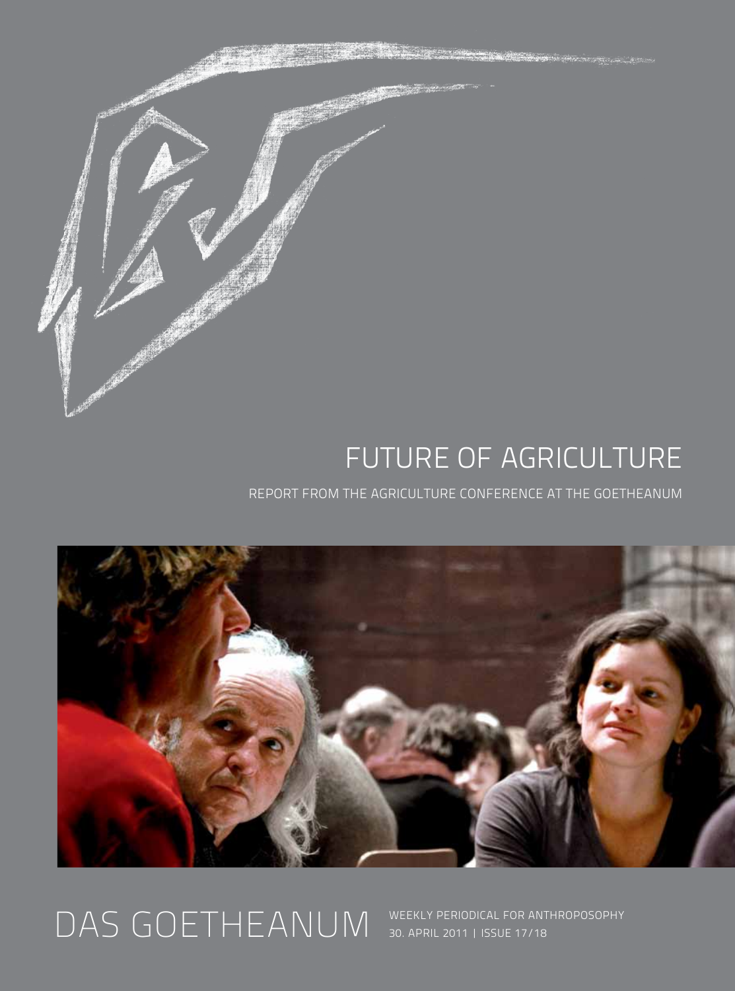

#### future of Agriculture

Report from the Agriculture Conference at the Goetheanum



### DAS GOETHEANUM WEEKLY PERIODICAL FOR ANTHROPOSOPHY

30. April 2011 | issue 17/18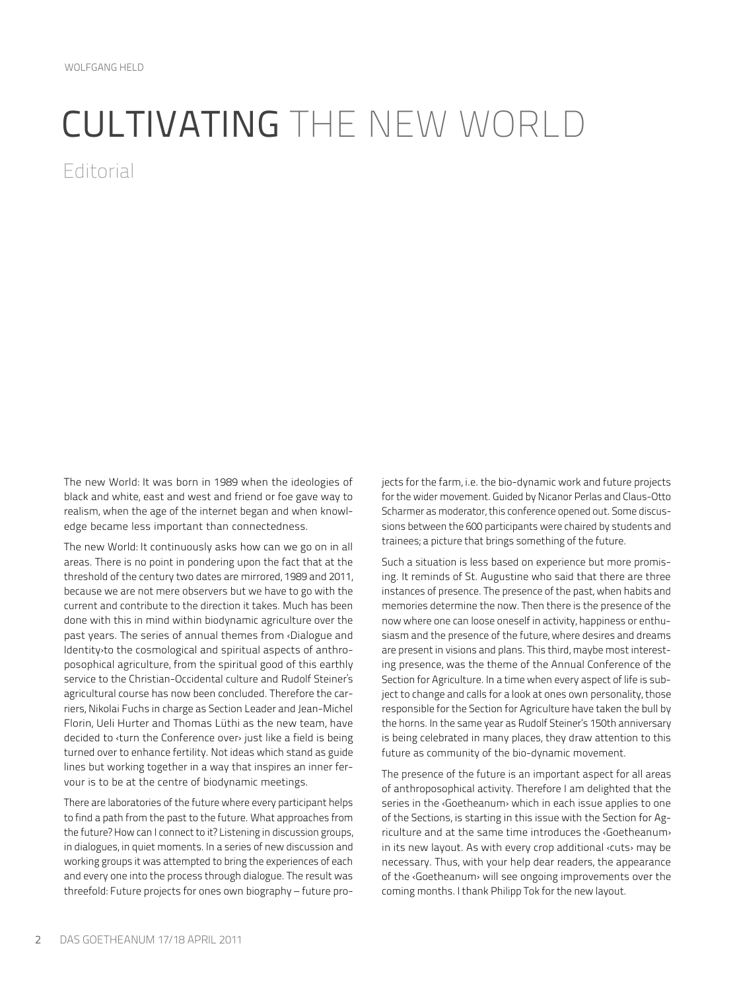#### Cultivating The New World Editorial

The new World: It was born in 1989 when the ideologies of black and white, east and west and friend or foe gave way to realism, when the age of the internet began and when knowledge became less important than connectedness.

The new World: It continuously asks how can we go on in all areas. There is no point in pondering upon the fact that at the threshold of the century two dates are mirrored, 1989 and 2011, because we are not mere observers but we have to go with the current and contribute to the direction it takes. Much has been done with this in mind within biodynamic agriculture over the past years. The series of annual themes from ‹Dialogue and Identity›to the cosmological and spiritual aspects of anthroposophical agriculture, from the spiritual good of this earthly service to the Christian-Occidental culture and Rudolf Steiner's agricultural course has now been concluded. Therefore the carriers, Nikolai Fuchs in charge as Section Leader and Jean-Michel Florin, Ueli Hurter and Thomas Lüthi as the new team, have decided to ‹turn the Conference over› just like a field is being turned over to enhance fertility. Not ideas which stand as guide lines but working together in a way that inspires an inner fervour is to be at the centre of biodynamic meetings.

There are laboratories of the future where every participant helps to find a path from the past to the future. What approaches from the future? How can I connect to it? Listening in discussion groups, in dialogues, in quiet moments. In a series of new discussion and working groups it was attempted to bring the experiences of each and every one into the process through dialogue. The result was threefold: Future projects for ones own biography – future projects for the farm, i.e. the bio-dynamic work and future projects for the wider movement. Guided by Nicanor Perlas and Claus-Otto Scharmer as moderator, this conference opened out. Some discussions between the 600 participants were chaired by students and trainees; a picture that brings something of the future.

Such a situation is less based on experience but more promising. It reminds of St. Augustine who said that there are three instances of presence. The presence of the past, when habits and memories determine the now. Then there is the presence of the now where one can loose oneself in activity, happiness or enthusiasm and the presence of the future, where desires and dreams are present in visions and plans. This third, maybe most interesting presence, was the theme of the Annual Conference of the Section for Agriculture. In a time when every aspect of life is subject to change and calls for a look at ones own personality, those responsible for the Section for Agriculture have taken the bull by the horns. In the same year as Rudolf Steiner's 150th anniversary is being celebrated in many places, they draw attention to this future as community of the bio-dynamic movement.

The presence of the future is an important aspect for all areas of anthroposophical activity. Therefore I am delighted that the series in the ‹Goetheanum› which in each issue applies to one of the Sections, is starting in this issue with the Section for Agriculture and at the same time introduces the ‹Goetheanum› in its new layout. As with every crop additional ‹cuts› may be necessary. Thus, with your help dear readers, the appearance of the ‹Goetheanum› will see ongoing improvements over the coming months. I thank Philipp Tok for the new layout.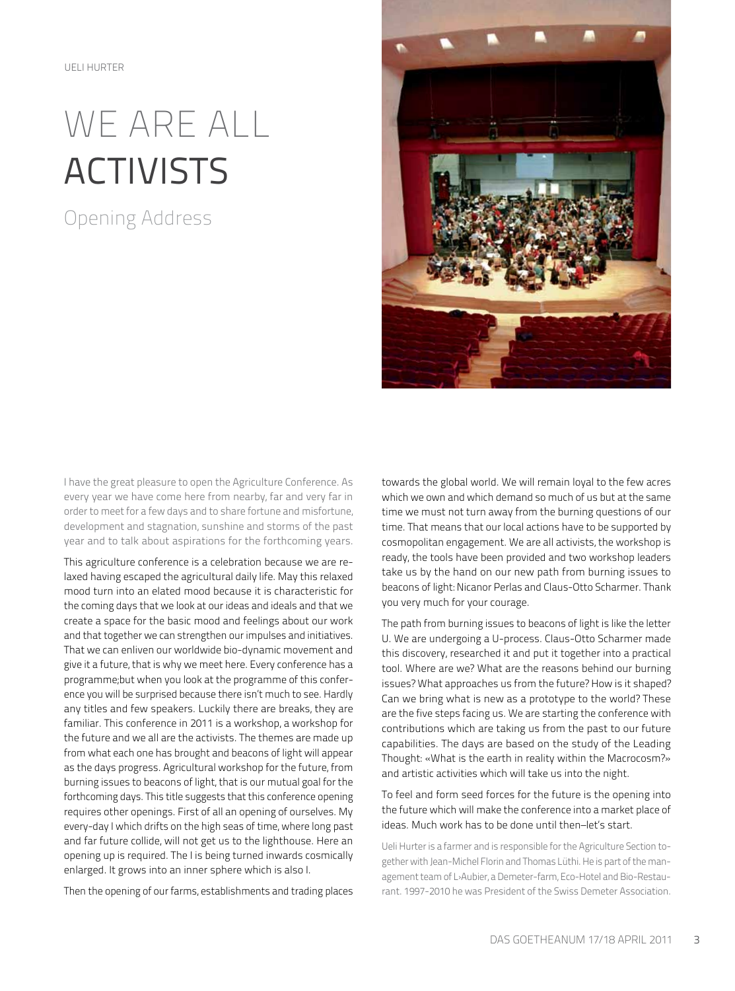## WE ARE ALL **ACTIVISTS**

Opening Address



I have the great pleasure to open the Agriculture Conference. As every year we have come here from nearby, far and very far in order to meet for a few days and to share fortune and misfortune, development and stagnation, sunshine and storms of the past year and to talk about aspirations for the forthcoming years.

This agriculture conference is a celebration because we are relaxed having escaped the agricultural daily life. May this relaxed mood turn into an elated mood because it is characteristic for the coming days that we look at our ideas and ideals and that we create a space for the basic mood and feelings about our work and that together we can strengthen our impulses and initiatives. That we can enliven our worldwide bio-dynamic movement and give it a future, that is why we meet here. Every conference has a programme;but when you look at the programme of this conference you will be surprised because there isn't much to see. Hardly any titles and few speakers. Luckily there are breaks, they are familiar. This conference in 2011 is a workshop, a workshop for the future and we all are the activists. The themes are made up from what each one has brought and beacons of light will appear as the days progress. Agricultural workshop for the future, from burning issues to beacons of light, that is our mutual goal for the forthcoming days. This title suggests that this conference opening requires other openings. First of all an opening of ourselves. My every-day I which drifts on the high seas of time, where long past and far future collide, will not get us to the lighthouse. Here an opening up is required. The I is being turned inwards cosmically enlarged. It grows into an inner sphere which is also I.

Then the opening of our farms, establishments and trading places

towards the global world. We will remain loyal to the few acres which we own and which demand so much of us but at the same time we must not turn away from the burning questions of our time. That means that our local actions have to be supported by cosmopolitan engagement. We are all activists, the workshop is ready, the tools have been provided and two workshop leaders take us by the hand on our new path from burning issues to beacons of light: Nicanor Perlas and Claus-Otto Scharmer. Thank you very much for your courage.

The path from burning issues to beacons of light is like the letter U. We are undergoing a U-process. Claus-Otto Scharmer made this discovery, researched it and put it together into a practical tool. Where are we? What are the reasons behind our burning issues? What approaches us from the future? How is it shaped? Can we bring what is new as a prototype to the world? These are the five steps facing us. We are starting the conference with contributions which are taking us from the past to our future capabilities. The days are based on the study of the Leading Thought: «What is the earth in reality within the Macrocosm?» and artistic activities which will take us into the night.

To feel and form seed forces for the future is the opening into the future which will make the conference into a market place of ideas. Much work has to be done until then–let's start.

Ueli Hurter is a farmer and is responsible for the Agriculture Section together with Jean-Michel Florin and Thomas Lüthi. He is part of the management team of L›Aubier, a Demeter-farm, Eco-Hotel and Bio-Restaurant. 1997-2010 he was President of the Swiss Demeter Association.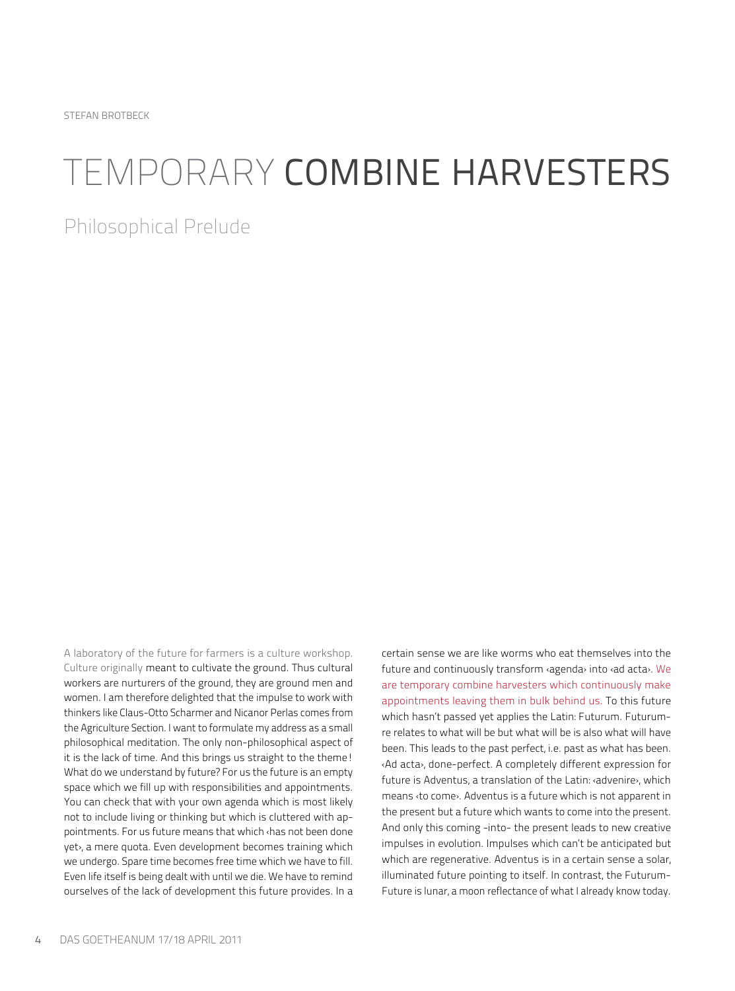### Temporary Combine Harvesters

Philosophical Prelude

A laboratory of the future for farmers is a culture workshop. Culture originally meant to cultivate the ground. Thus cultural workers are nurturers of the ground, they are ground men and women. I am therefore delighted that the impulse to work with thinkers like Claus-Otto Scharmer and Nicanor Perlas comes from the Agriculture Section. I want to formulate my address as a small philosophical meditation. The only non-philosophical aspect of it is the lack of time. And this brings us straight to the theme! What do we understand by future? For us the future is an empty space which we fill up with responsibilities and appointments. You can check that with your own agenda which is most likely not to include living or thinking but which is cluttered with appointments. For us future means that which ‹has not been done yet›, a mere quota. Even development becomes training which we undergo. Spare time becomes free time which we have to fill. Even life itself is being dealt with until we die. We have to remind ourselves of the lack of development this future provides. In a certain sense we are like worms who eat themselves into the future and continuously transform ‹agenda› into ‹ad acta›. We are temporary combine harvesters which continuously make appointments leaving them in bulk behind us. To this future which hasn't passed yet applies the Latin: Futurum. Futurumre relates to what will be but what will be is also what will have been. This leads to the past perfect, i.e. past as what has been. ‹Ad acta›, done-perfect. A completely different expression for future is Adventus, a translation of the Latin: ‹advenire›, which means ‹to come›. Adventus is a future which is not apparent in the present but a future which wants to come into the present. And only this coming -into- the present leads to new creative impulses in evolution. Impulses which can't be anticipated but which are regenerative. Adventus is in a certain sense a solar, illuminated future pointing to itself. In contrast, the Futurum-Future is lunar, a moon reflectance of what I already know today.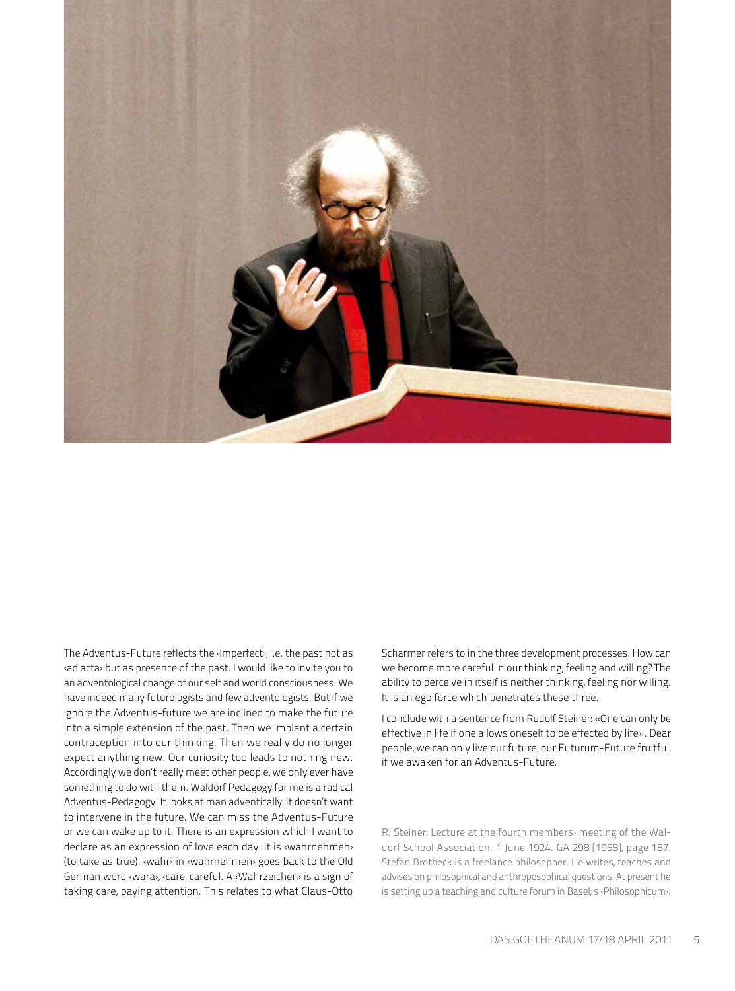

The Adventus-Future reflects the ‹Imperfect›, i.e. the past not as ‹ad acta› but as presence of the past. I would like to invite you to an adventological change of our self and world consciousness. We have indeed many futurologists and few adventologists. But if we ignore the Adventus-future we are inclined to make the future into a simple extension of the past. Then we implant a certain contraception into our thinking. Then we really do no longer expect anything new. Our curiosity too leads to nothing new. Accordingly we don't really meet other people, we only ever have something to do with them. Waldorf Pedagogy for me is a radical Adventus-Pedagogy. It looks at man adventically, it doesn't want to intervene in the future. We can miss the Adventus-Future or we can wake up to it. There is an expression which I want to declare as an expression of love each day. It is ‹wahrnehmen› (to take as true). ‹wahr› in ‹wahrnehmen› goes back to the Old German word ‹wara›, ‹care, careful. A ‹Wahrzeichen› is a sign of taking care, paying attention. This relates to what Claus-Otto

Scharmer refers to in the three development processes. How can we become more careful in our thinking, feeling and willing? The ability to perceive in itself is neither thinking, feeling nor willing. It is an ego force which penetrates these three.

I conclude with a sentence from Rudolf Steiner: «One can only be effective in life if one allows oneself to be effected by life». Dear people, we can only live our future, our Futurum-Future fruitful, if we awaken for an Adventus-Future.

R. Steiner: Lecture at the fourth members› meeting of the Waldorf School Association. 1 June 1924. GA 298 [1958], page 187. Stefan Brotbeck is a freelance philosopher. He writes, teaches and advises on philosophical and anthroposophical questions. At present he is setting up a teaching and culture forum in Basel; s ‹Philosophicum›.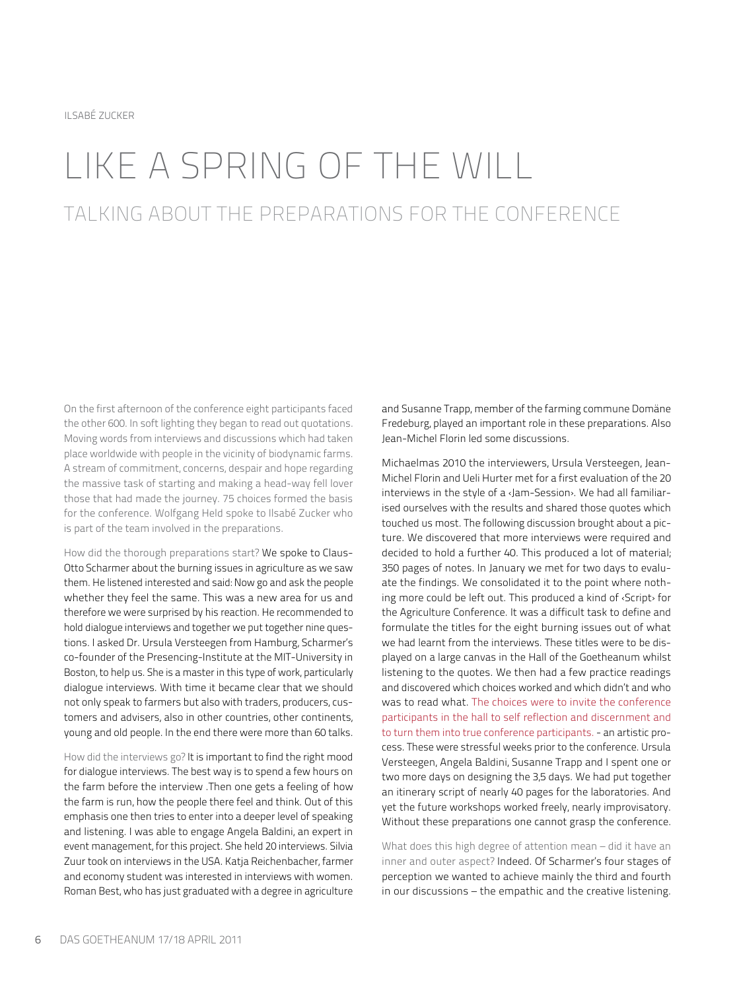### Like a Spring of the Will Talking about the preparations for the Conference

On the first afternoon of the conference eight participants faced the other 600. In soft lighting they began to read out quotations. Moving words from interviews and discussions which had taken place worldwide with people in the vicinity of biodynamic farms. A stream of commitment, concerns, despair and hope regarding the massive task of starting and making a head-way fell lover those that had made the journey. 75 choices formed the basis for the conference. Wolfgang Held spoke to Ilsabé Zucker who is part of the team involved in the preparations.

How did the thorough preparations start? We spoke to Claus-Otto Scharmer about the burning issues in agriculture as we saw them. He listened interested and said: Now go and ask the people whether they feel the same. This was a new area for us and therefore we were surprised by his reaction. He recommended to hold dialogue interviews and together we put together nine questions. I asked Dr. Ursula Versteegen from Hamburg, Scharmer's co-founder of the Presencing-Institute at the MIT-University in Boston, to help us. She is a master in this type of work, particularly dialogue interviews. With time it became clear that we should not only speak to farmers but also with traders, producers, customers and advisers, also in other countries, other continents, young and old people. In the end there were more than 60 talks.

How did the interviews go? It is important to find the right mood for dialogue interviews. The best way is to spend a few hours on the farm before the interview .Then one gets a feeling of how the farm is run, how the people there feel and think. Out of this emphasis one then tries to enter into a deeper level of speaking and listening. I was able to engage Angela Baldini, an expert in event management, for this project. She held 20 interviews. Silvia Zuur took on interviews in the USA. Katja Reichenbacher, farmer and economy student was interested in interviews with women. Roman Best, who has just graduated with a degree in agriculture

and Susanne Trapp, member of the farming commune Domäne Fredeburg, played an important role in these preparations. Also Jean-Michel Florin led some discussions.

Michaelmas 2010 the interviewers, Ursula Versteegen, Jean-Michel Florin and Ueli Hurter met for a first evaluation of the 20 interviews in the style of a ‹Jam-Session›. We had all familiarised ourselves with the results and shared those quotes which touched us most. The following discussion brought about a picture. We discovered that more interviews were required and decided to hold a further 40. This produced a lot of material; 350 pages of notes. In January we met for two days to evaluate the findings. We consolidated it to the point where nothing more could be left out. This produced a kind of ‹Script› for the Agriculture Conference. It was a difficult task to define and formulate the titles for the eight burning issues out of what we had learnt from the interviews. These titles were to be displayed on a large canvas in the Hall of the Goetheanum whilst listening to the quotes. We then had a few practice readings and discovered which choices worked and which didn't and who was to read what. The choices were to invite the conference participants in the hall to self reflection and discernment and to turn them into true conference participants. - an artistic process. These were stressful weeks prior to the conference. Ursula Versteegen, Angela Baldini, Susanne Trapp and I spent one or two more days on designing the 3,5 days. We had put together an itinerary script of nearly 40 pages for the laboratories. And yet the future workshops worked freely, nearly improvisatory. Without these preparations one cannot grasp the conference.

What does this high degree of attention mean – did it have an inner and outer aspect? Indeed. Of Scharmer's four stages of perception we wanted to achieve mainly the third and fourth in our discussions – the empathic and the creative listening.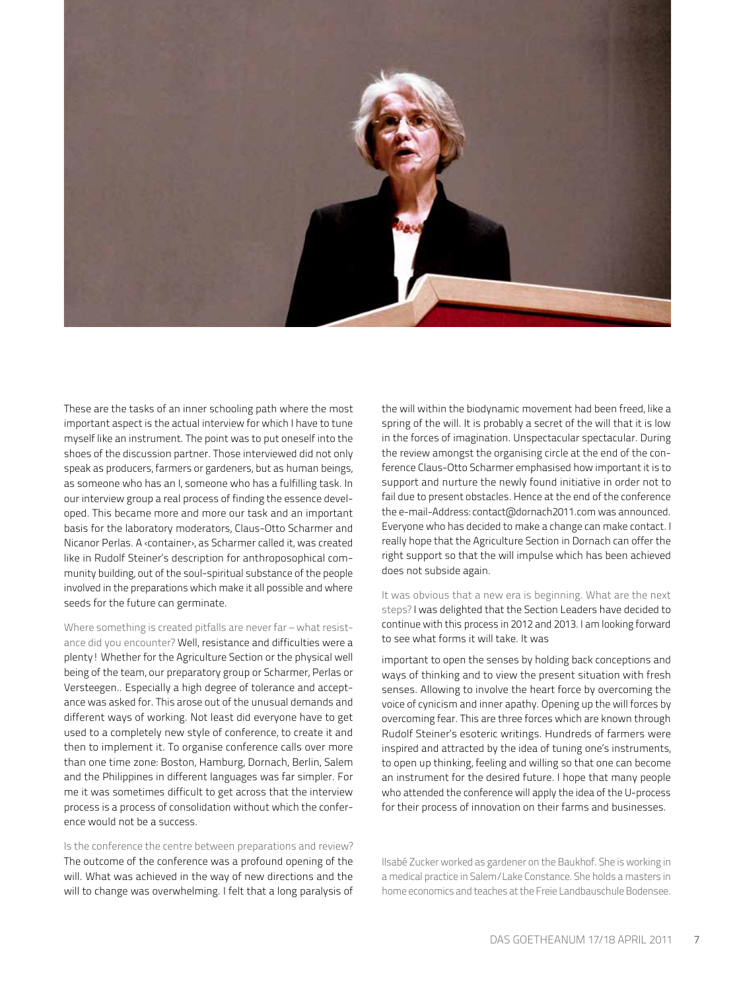

These are the tasks of an inner schooling path where the most important aspect is the actual interview for which I have to tune myself like an instrument. The point was to put oneself into the shoes of the discussion partner. Those interviewed did not only speak as producers, farmers or gardeners, but as human beings, as someone who has an I, someone who has a fulfilling task. In our interview group a real process of finding the essence developed. This became more and more our task and an important basis for the laboratory moderators, Claus-Otto Scharmer and Nicanor Perlas. A ‹container›, as Scharmer called it, was created like in Rudolf Steiner's description for anthroposophical community building, out of the soul-spiritual substance of the people involved in the preparations which make it all possible and where seeds for the future can germinate.

Where something is created pitfalls are never far – what resistance did you encounter? Well, resistance and difficulties were a plenty! Whether for the Agriculture Section or the physical well being of the team, our preparatory group or Scharmer, Perlas or Versteegen.. Especially a high degree of tolerance and acceptance was asked for. This arose out of the unusual demands and different ways of working. Not least did everyone have to get used to a completely new style of conference, to create it and then to implement it. To organise conference calls over more than one time zone: Boston, Hamburg, Dornach, Berlin, Salem and the Philippines in different languages was far simpler. For me it was sometimes difficult to get across that the interview process is a process of consolidation without which the conference would not be a success.

Is the conference the centre between preparations and review? The outcome of the conference was a profound opening of the will. What was achieved in the way of new directions and the will to change was overwhelming. I felt that a long paralysis of the will within the biodynamic movement had been freed, like a spring of the will. It is probably a secret of the will that it is low in the forces of imagination. Unspectacular spectacular. During the review amongst the organising circle at the end of the conference Claus-Otto Scharmer emphasised how important it is to support and nurture the newly found initiative in order not to fail due to present obstacles. Hence at the end of the conference the e-mail-Address: contact@dornach2011.com was announced. Everyone who has decided to make a change can make contact. I really hope that the Agriculture Section in Dornach can offer the right support so that the will impulse which has been achieved does not subside again.

It was obvious that a new era is beginning. What are the next steps? I was delighted that the Section Leaders have decided to continue with this process in 2012 and 2013. I am looking forward to see what forms it will take. It was

important to open the senses by holding back conceptions and ways of thinking and to view the present situation with fresh senses. Allowing to involve the heart force by overcoming the voice of cynicism and inner apathy. Opening up the will forces by overcoming fear. This are three forces which are known through Rudolf Steiner's esoteric writings. Hundreds of farmers were inspired and attracted by the idea of tuning one's instruments, to open up thinking, feeling and willing so that one can become an instrument for the desired future. I hope that many people who attended the conference will apply the idea of the U-process for their process of innovation on their farms and businesses.

Ilsabé Zucker worked as gardener on the Baukhof. She is working in a medical practice in Salem/Lake Constance. She holds a masters in home economics and teaches at the Freie Landbauschule Bodensee.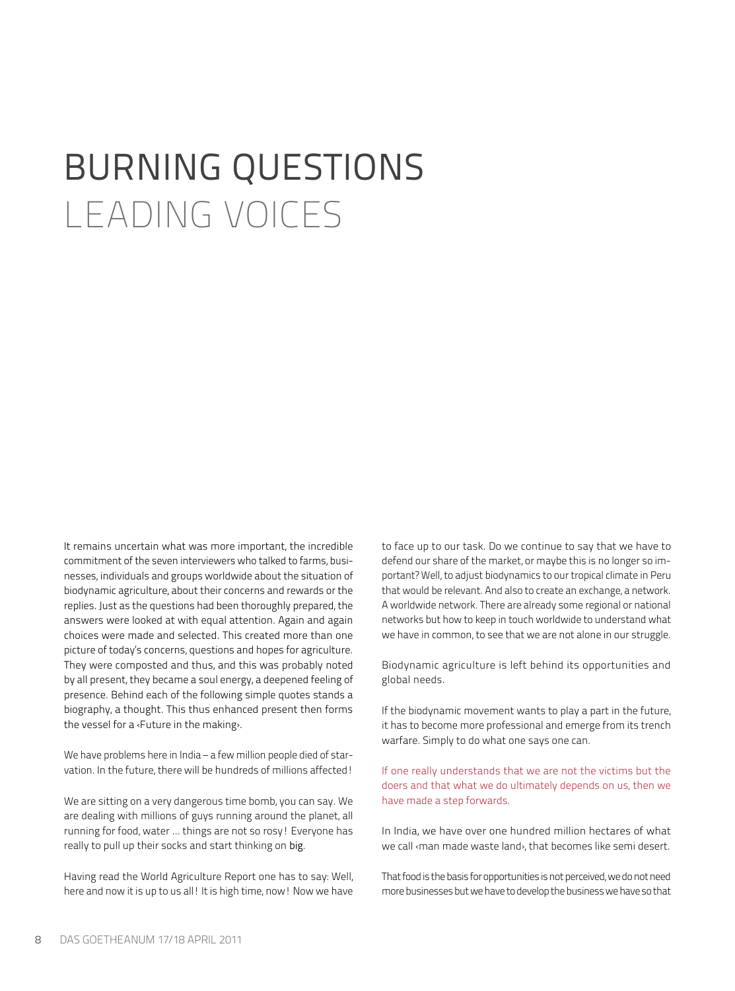### Burning Questions Leading Voices

It remains uncertain what was more important, the incredible commitment of the seven interviewers who talked to farms, businesses, individuals and groups worldwide about the situation of biodynamic agriculture, about their concerns and rewards or the replies. Just as the questions had been thoroughly prepared, the answers were looked at with equal attention. Again and again choices were made and selected. This created more than one picture of today's concerns, questions and hopes for agriculture. They were composted and thus, and this was probably noted by all present, they became a soul energy, a deepened feeling of presence. Behind each of the following simple quotes stands a biography, a thought. This thus enhanced present then forms the vessel for a ‹Future in the making›.

We have problems here in India – a few million people died of starvation. In the future, there will be hundreds of millions affected!

We are sitting on a very dangerous time bomb, you can say. We are dealing with millions of guys running around the planet, all running for food, water … things are not so rosy! Everyone has really to pull up their socks and start thinking on big.

Having read the World Agriculture Report one has to say: Well, here and now it is up to us all! It is high time, now! Now we have

to face up to our task. Do we continue to say that we have to defend our share of the market, or maybe this is no longer so important? Well, to adjust biodynamics to our tropical climate in Peru that would be relevant. And also to create an exchange, a network. A worldwide network. There are already some regional or national networks but how to keep in touch worldwide to understand what we have in common, to see that we are not alone in our struggle.

Biodynamic agriculture is left behind its opportunities and global needs.

If the biodynamic movement wants to play a part in the future, it has to become more professional and emerge from its trench warfare. Simply to do what one says one can.

If one really understands that we are not the victims but the doers and that what we do ultimately depends on us, then we have made a step forwards.

In India, we have over one hundred million hectares of what we call ‹man made waste land›, that becomes like semi desert.

That food is the basis for opportunities is not perceived, we do not need more businesses but we have to develop the business we have so that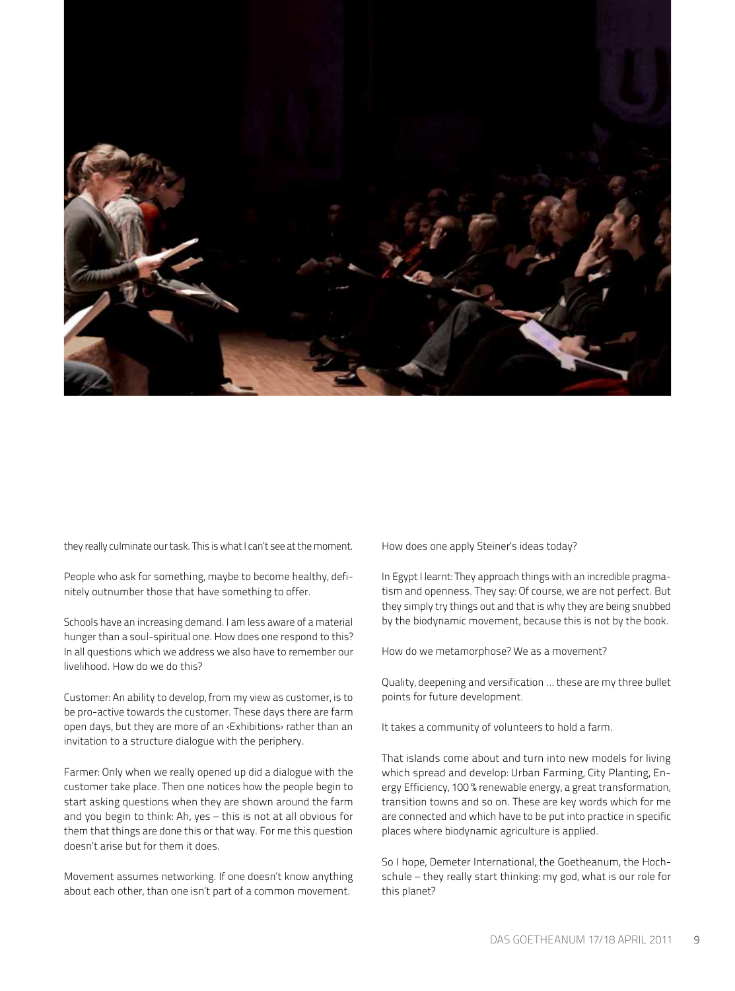

they really culminate our task. This is what I can't see at the moment.

People who ask for something, maybe to become healthy, definitely outnumber those that have something to offer.

Schools have an increasing demand. I am less aware of a material hunger than a soul-spiritual one. How does one respond to this? In all questions which we address we also have to remember our livelihood. How do we do this?

Customer: An ability to develop, from my view as customer, is to be pro-active towards the customer. These days there are farm open days, but they are more of an ‹Exhibitions› rather than an invitation to a structure dialogue with the periphery.

Farmer: Only when we really opened up did a dialogue with the customer take place. Then one notices how the people begin to start asking questions when they are shown around the farm and you begin to think: Ah, yes – this is not at all obvious for them that things are done this or that way. For me this question doesn't arise but for them it does.

Movement assumes networking. If one doesn't know anything about each other, than one isn't part of a common movement.

How does one apply Steiner's ideas today?

In Egypt I learnt: They approach things with an incredible pragmatism and openness. They say: Of course, we are not perfect. But they simply try things out and that is why they are being snubbed by the biodynamic movement, because this is not by the book.

How do we metamorphose? We as a movement?

Quality, deepening and versification … these are my three bullet points for future development.

It takes a community of volunteers to hold a farm.

That islands come about and turn into new models for living which spread and develop: Urban Farming, City Planting, Energy Efficiency, 100 % renewable energy, a great transformation, transition towns and so on. These are key words which for me are connected and which have to be put into practice in specific places where biodynamic agriculture is applied.

So I hope, Demeter International, the Goetheanum, the Hochschule – they really start thinking: my god, what is our role for this planet?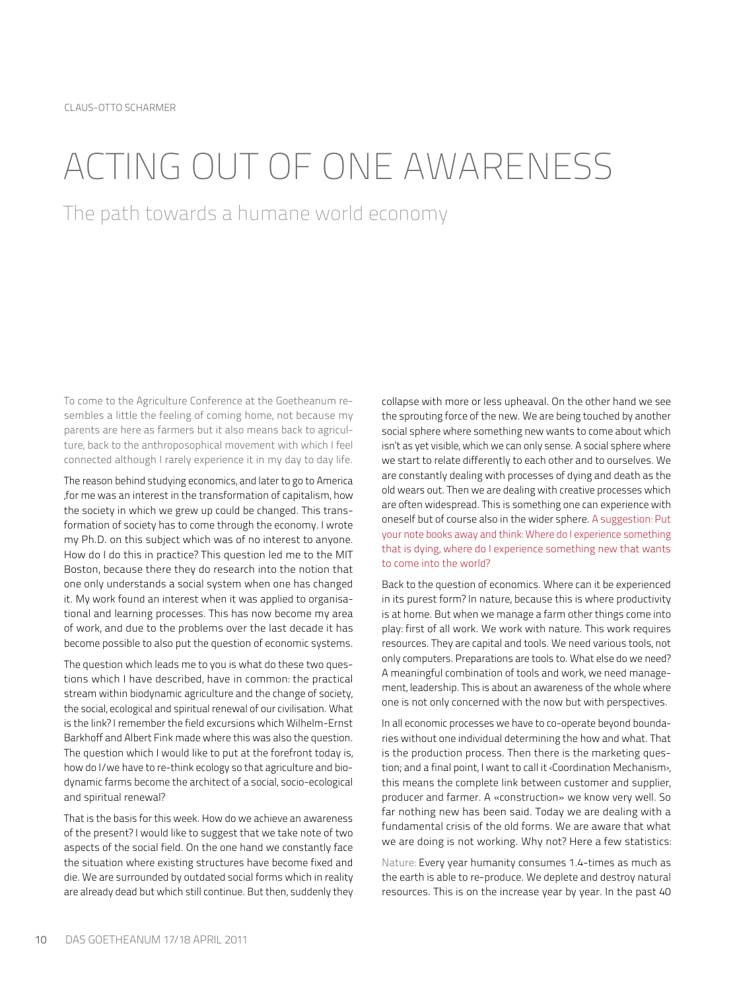# Acting Out of one Awareness

The path towards a humane world economy

To come to the Agriculture Conference at the Goetheanum resembles a little the feeling of coming home, not because my parents are here as farmers but it also means back to agriculture, back to the anthroposophical movement with which I feel connected although I rarely experience it in my day to day life.

The reason behind studying economics, and later to go to America ,for me was an interest in the transformation of capitalism, how the society in which we grew up could be changed. This transformation of society has to come through the economy. I wrote my Ph.D. on this subject which was of no interest to anyone. How do I do this in practice? This question led me to the MIT Boston, because there they do research into the notion that one only understands a social system when one has changed it. My work found an interest when it was applied to organisational and learning processes. This has now become my area of work, and due to the problems over the last decade it has become possible to also put the question of economic systems.

The question which leads me to you is what do these two questions which I have described, have in common: the practical stream within biodynamic agriculture and the change of society, the social, ecological and spiritual renewal of our civilisation. What is the link? I remember the field excursions which Wilhelm-Ernst Barkhoff and Albert Fink made where this was also the question. The question which I would like to put at the forefront today is, how do I/we have to re-think ecology so that agriculture and biodynamic farms become the architect of a social, socio-ecological and spiritual renewal?

That is the basis for this week. How do we achieve an awareness of the present? I would like to suggest that we take note of two aspects of the social field. On the one hand we constantly face the situation where existing structures have become fixed and die. We are surrounded by outdated social forms which in reality are already dead but which still continue. But then, suddenly they

collapse with more or less upheaval. On the other hand we see the sprouting force of the new. We are being touched by another social sphere where something new wants to come about which isn't as yet visible, which we can only sense. A social sphere where we start to relate differently to each other and to ourselves. We are constantly dealing with processes of dying and death as the old wears out. Then we are dealing with creative processes which are often widespread. This is something one can experience with oneself but of course also in the wider sphere. A suggestion: Put your note books away and think: Where do I experience something that is dying, where do I experience something new that wants to come into the world?

Back to the question of economics. Where can it be experienced in its purest form? In nature, because this is where productivity is at home. But when we manage a farm other things come into play: first of all work. We work with nature. This work requires resources. They are capital and tools. We need various tools, not only computers. Preparations are tools to. What else do we need? A meaningful combination of tools and work, we need management, leadership. This is about an awareness of the whole where one is not only concerned with the now but with perspectives.

In all economic processes we have to co-operate beyond boundaries without one individual determining the how and what. That is the production process. Then there is the marketing question; and a final point, I want to call it ‹Coordination Mechanism›, this means the complete link between customer and supplier, producer and farmer. A «construction» we know very well. So far nothing new has been said. Today we are dealing with a fundamental crisis of the old forms. We are aware that what we are doing is not working. Why not? Here a few statistics:

Nature: Every year humanity consumes 1.4-times as much as the earth is able to re-produce. We deplete and destroy natural resources. This is on the increase year by year. In the past 40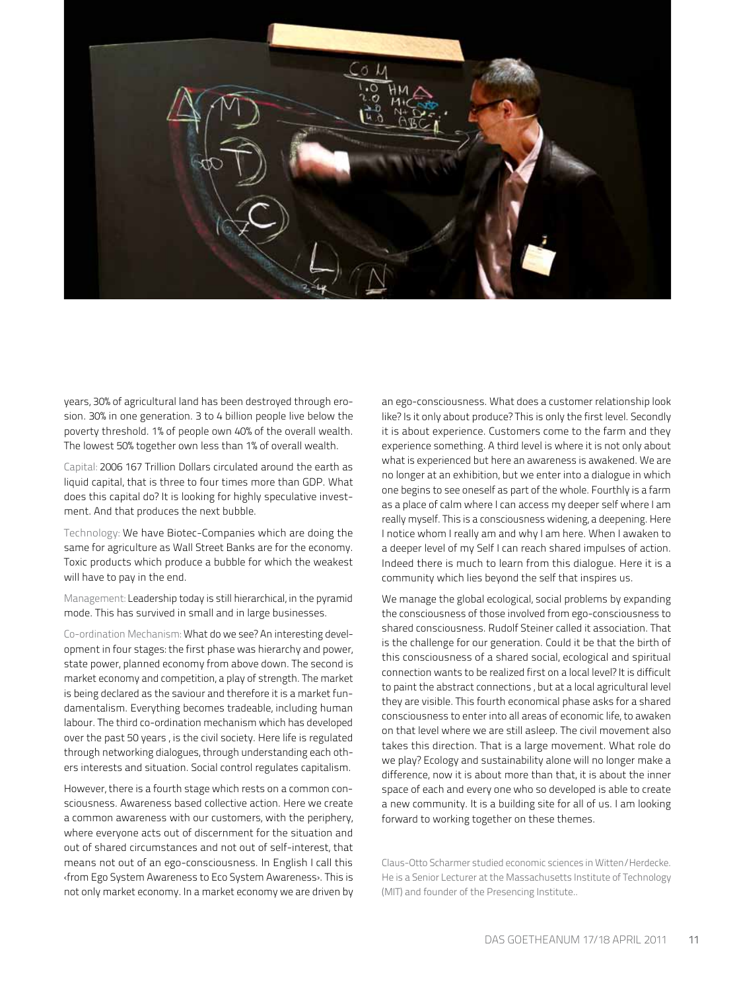

years, 30% of agricultural land has been destroyed through erosion. 30% in one generation. 3 to 4 billion people live below the poverty threshold. 1% of people own 40% of the overall wealth. The lowest 50% together own less than 1% of overall wealth.

Capital: 2006 167 Trillion Dollars circulated around the earth as liquid capital, that is three to four times more than GDP. What does this capital do? It is looking for highly speculative investment. And that produces the next bubble.

Technology: We have Biotec-Companies which are doing the same for agriculture as Wall Street Banks are for the economy. Toxic products which produce a bubble for which the weakest will have to pay in the end.

Management: Leadership today is still hierarchical, in the pyramid mode. This has survived in small and in large businesses.

Co-ordination Mechanism: What do we see? An interesting development in four stages: the first phase was hierarchy and power, state power, planned economy from above down. The second is market economy and competition, a play of strength. The market is being declared as the saviour and therefore it is a market fundamentalism. Everything becomes tradeable, including human labour. The third co-ordination mechanism which has developed over the past 50 years , is the civil society. Here life is regulated through networking dialogues, through understanding each others interests and situation. Social control regulates capitalism.

However, there is a fourth stage which rests on a common consciousness. Awareness based collective action. Here we create a common awareness with our customers, with the periphery, where everyone acts out of discernment for the situation and out of shared circumstances and not out of self-interest, that means not out of an ego-consciousness. In English I call this ‹from Ego System Awareness to Eco System Awareness›. This is not only market economy. In a market economy we are driven by an ego-consciousness. What does a customer relationship look like? Is it only about produce? This is only the first level. Secondly it is about experience. Customers come to the farm and they experience something. A third level is where it is not only about what is experienced but here an awareness is awakened. We are no longer at an exhibition, but we enter into a dialogue in which one begins to see oneself as part of the whole. Fourthly is a farm as a place of calm where I can access my deeper self where I am really myself. This is a consciousness widening, a deepening. Here I notice whom I really am and why I am here. When I awaken to a deeper level of my Self I can reach shared impulses of action. Indeed there is much to learn from this dialogue. Here it is a community which lies beyond the self that inspires us.

We manage the global ecological, social problems by expanding the consciousness of those involved from ego-consciousness to shared consciousness. Rudolf Steiner called it association. That is the challenge for our generation. Could it be that the birth of this consciousness of a shared social, ecological and spiritual connection wants to be realized first on a local level? It is difficult to paint the abstract connections , but at a local agricultural level they are visible. This fourth economical phase asks for a shared consciousness to enter into all areas of economic life, to awaken on that level where we are still asleep. The civil movement also takes this direction. That is a large movement. What role do we play? Ecology and sustainability alone will no longer make a difference, now it is about more than that, it is about the inner space of each and every one who so developed is able to create a new community. It is a building site for all of us. I am looking forward to working together on these themes.

Claus-Otto Scharmer studied economic sciences in Witten/Herdecke. He is a Senior Lecturer at the Massachusetts Institute of Technology (MIT) and founder of the Presencing Institute..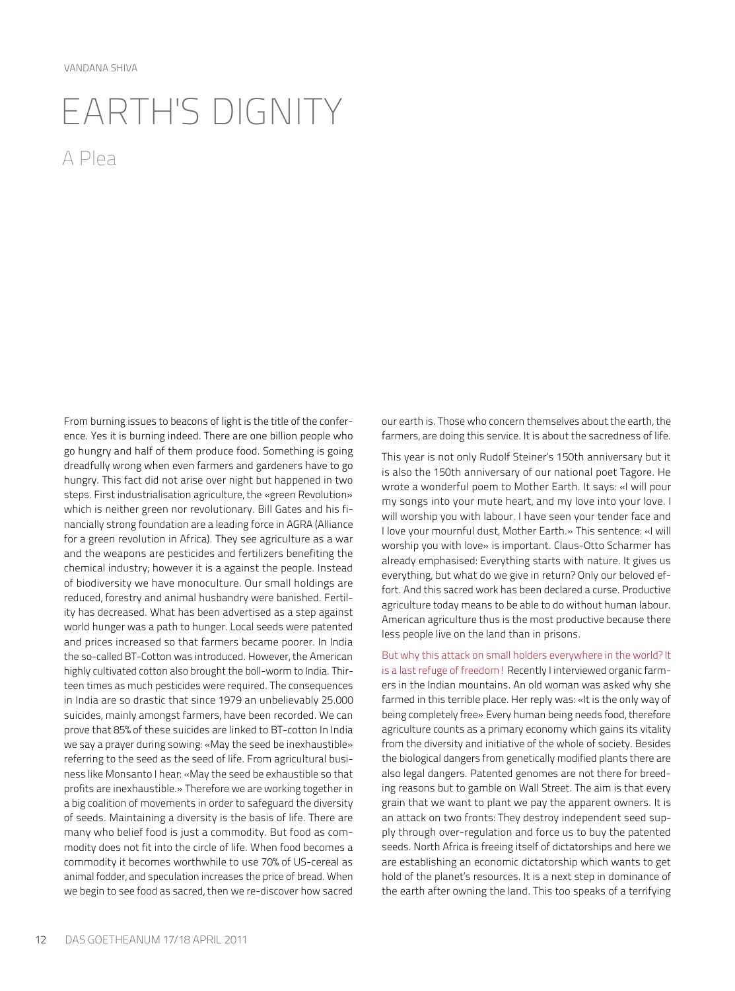#### Earth's Dignity

A Plea

From burning issues to beacons of light is the title of the conference. Yes it is burning indeed. There are one billion people who go hungry and half of them produce food. Something is going dreadfully wrong when even farmers and gardeners have to go hungry. This fact did not arise over night but happened in two steps. First industrialisation agriculture, the «green Revolution» which is neither green nor revolutionary. Bill Gates and his financially strong foundation are a leading force in AGRA (Alliance for a green revolution in Africa). They see agriculture as a war and the weapons are pesticides and fertilizers benefiting the chemical industry; however it is a against the people. Instead of biodiversity we have monoculture. Our small holdings are reduced, forestry and animal husbandry were banished. Fertility has decreased. What has been advertised as a step against world hunger was a path to hunger. Local seeds were patented and prices increased so that farmers became poorer. In India the so-called BT-Cotton was introduced. However, the American highly cultivated cotton also brought the boll-worm to India. Thirteen times as much pesticides were required. The consequences in India are so drastic that since 1979 an unbelievably 25.000 suicides, mainly amongst farmers, have been recorded. We can prove that 85% of these suicides are linked to BT-cotton In India we say a prayer during sowing: «May the seed be inexhaustible» referring to the seed as the seed of life. From agricultural business like Monsanto I hear: «May the seed be exhaustible so that profits are inexhaustible.» Therefore we are working together in a big coalition of movements in order to safeguard the diversity of seeds. Maintaining a diversity is the basis of life. There are many who belief food is just a commodity. But food as commodity does not fit into the circle of life. When food becomes a commodity it becomes worthwhile to use 70% of US-cereal as animal fodder, and speculation increases the price of bread. When we begin to see food as sacred, then we re-discover how sacred

our earth is. Those who concern themselves about the earth, the farmers, are doing this service. It is about the sacredness of life.

This year is not only Rudolf Steiner's 150th anniversary but it is also the 150th anniversary of our national poet Tagore. He wrote a wonderful poem to Mother Earth. It says: «I will pour my songs into your mute heart, and my love into your love. I will worship you with labour. I have seen your tender face and I love your mournful dust, Mother Earth.» This sentence: «I will worship you with love» is important. Claus-Otto Scharmer has already emphasised: Everything starts with nature. It gives us everything, but what do we give in return? Only our beloved effort. And this sacred work has been declared a curse. Productive agriculture today means to be able to do without human labour. American agriculture thus is the most productive because there less people live on the land than in prisons.

But why this attack on small holders everywhere in the world? It is a last refuge of freedom! Recently I interviewed organic farmers in the Indian mountains. An old woman was asked why she farmed in this terrible place. Her reply was: «It is the only way of being completely free» Every human being needs food, therefore agriculture counts as a primary economy which gains its vitality from the diversity and initiative of the whole of society. Besides the biological dangers from genetically modified plants there are also legal dangers. Patented genomes are not there for breeding reasons but to gamble on Wall Street. The aim is that every grain that we want to plant we pay the apparent owners. It is an attack on two fronts: They destroy independent seed supply through over-regulation and force us to buy the patented seeds. North Africa is freeing itself of dictatorships and here we are establishing an economic dictatorship which wants to get hold of the planet's resources. It is a next step in dominance of the earth after owning the land. This too speaks of a terrifying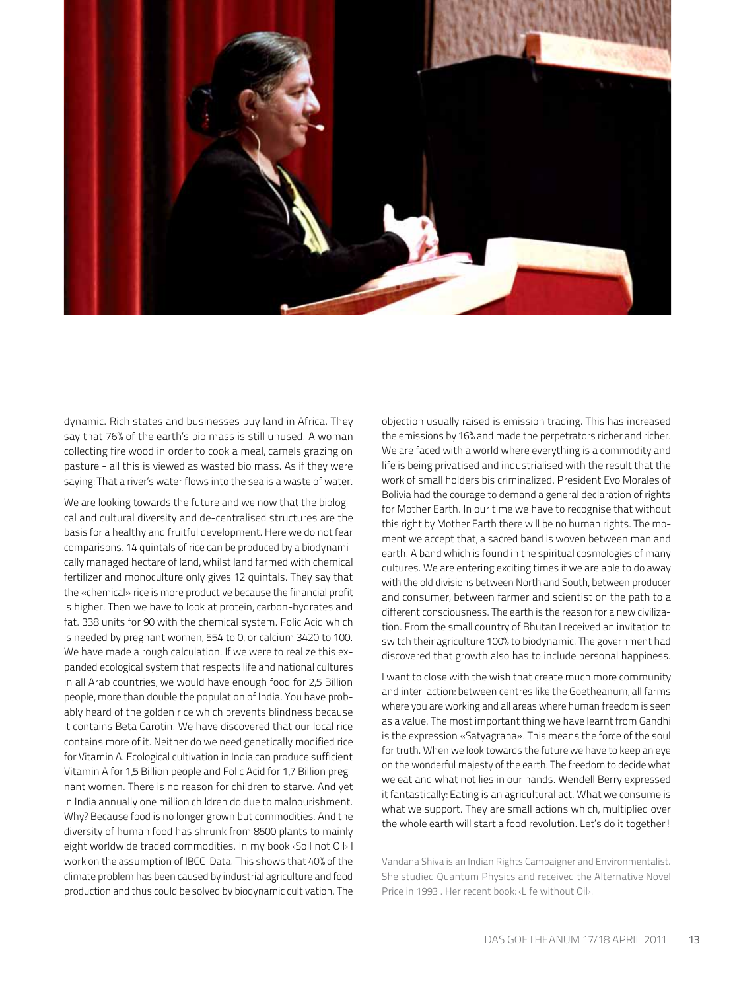

dynamic. Rich states and businesses buy land in Africa. They say that 76% of the earth's bio mass is still unused. A woman collecting fire wood in order to cook a meal, camels grazing on pasture - all this is viewed as wasted bio mass. As if they were saying: That a river's water flows into the sea is a waste of water.

We are looking towards the future and we now that the biological and cultural diversity and de-centralised structures are the basis for a healthy and fruitful development. Here we do not fear comparisons. 14 quintals of rice can be produced by a biodynamically managed hectare of land, whilst land farmed with chemical fertilizer and monoculture only gives 12 quintals. They say that the «chemical» rice is more productive because the financial profit is higher. Then we have to look at protein, carbon-hydrates and fat. 338 units for 90 with the chemical system. Folic Acid which is needed by pregnant women, 554 to 0, or calcium 3420 to 100. We have made a rough calculation. If we were to realize this expanded ecological system that respects life and national cultures in all Arab countries, we would have enough food for 2,5 Billion people, more than double the population of India. You have probably heard of the golden rice which prevents blindness because it contains Beta Carotin. We have discovered that our local rice contains more of it. Neither do we need genetically modified rice for Vitamin A. Ecological cultivation in India can produce sufficient Vitamin A for 1,5 Billion people and Folic Acid for 1,7 Billion pregnant women. There is no reason for children to starve. And yet in India annually one million children do due to malnourishment. Why? Because food is no longer grown but commodities. And the diversity of human food has shrunk from 8500 plants to mainly eight worldwide traded commodities. In my book ‹Soil not Oil› I work on the assumption of IBCC-Data. This shows that 40% of the climate problem has been caused by industrial agriculture and food production and thus could be solved by biodynamic cultivation. The objection usually raised is emission trading. This has increased the emissions by 16% and made the perpetrators richer and richer. We are faced with a world where everything is a commodity and life is being privatised and industrialised with the result that the work of small holders bis criminalized. President Evo Morales of Bolivia had the courage to demand a general declaration of rights for Mother Earth. In our time we have to recognise that without this right by Mother Earth there will be no human rights. The moment we accept that, a sacred band is woven between man and earth. A band which is found in the spiritual cosmologies of many cultures. We are entering exciting times if we are able to do away with the old divisions between North and South, between producer and consumer, between farmer and scientist on the path to a different consciousness. The earth is the reason for a new civilization. From the small country of Bhutan I received an invitation to switch their agriculture 100% to biodynamic. The government had discovered that growth also has to include personal happiness.

I want to close with the wish that create much more community and inter-action: between centres like the Goetheanum, all farms where you are working and all areas where human freedom is seen as a value. The most important thing we have learnt from Gandhi is the expression «Satyagraha». This means the force of the soul for truth. When we look towards the future we have to keep an eye on the wonderful majesty of the earth. The freedom to decide what we eat and what not lies in our hands. Wendell Berry expressed it fantastically: Eating is an agricultural act. What we consume is what we support. They are small actions which, multiplied over the whole earth will start a food revolution. Let's do it together!

Vandana Shiva is an Indian Rights Campaigner and Environmentalist. She studied Quantum Physics and received the Alternative Novel Price in 1993 . Her recent book: ‹Life without Oil›.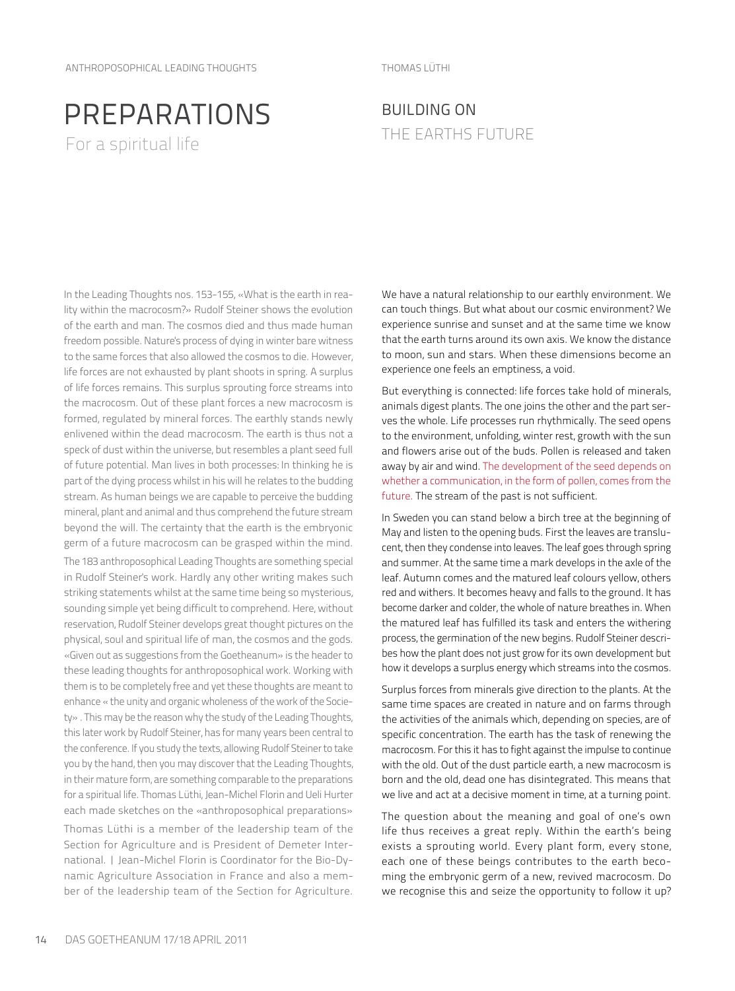#### Preparations For a spiritual life

Thomas Lüthi

#### **BUILDING ON** the Earths Future

In the Leading Thoughts nos. 153-155, «What is the earth in reality within the macrocosm?» Rudolf Steiner shows the evolution of the earth and man. The cosmos died and thus made human freedom possible. Nature's process of dying in winter bare witness to the same forces that also allowed the cosmos to die. However, life forces are not exhausted by plant shoots in spring. A surplus of life forces remains. This surplus sprouting force streams into the macrocosm. Out of these plant forces a new macrocosm is formed, regulated by mineral forces. The earthly stands newly enlivened within the dead macrocosm. The earth is thus not a speck of dust within the universe, but resembles a plant seed full of future potential. Man lives in both processes: In thinking he is part of the dying process whilst in his will he relates to the budding stream. As human beings we are capable to perceive the budding mineral, plant and animal and thus comprehend the future stream beyond the will. The certainty that the earth is the embryonic germ of a future macrocosm can be grasped within the mind.

The 183 anthroposophical Leading Thoughts are something special in Rudolf Steiner's work. Hardly any other writing makes such striking statements whilst at the same time being so mysterious, sounding simple yet being difficult to comprehend. Here, without reservation, Rudolf Steiner develops great thought pictures on the physical, soul and spiritual life of man, the cosmos and the gods. «Given out as suggestions from the Goetheanum» is the header to these leading thoughts for anthroposophical work. Working with them is to be completely free and yet these thoughts are meant to enhance « the unity and organic wholeness of the work of the Society» . This may be the reason why the study of the Leading Thoughts, this later work by Rudolf Steiner, has for many years been central to the conference. If you study the texts, allowing Rudolf Steiner to take you by the hand, then you may discover that the Leading Thoughts, in their mature form, are something comparable to the preparations for a spiritual life. Thomas Lüthi, Jean-Michel Florin and Ueli Hurter each made sketches on the «anthroposophical preparations» Thomas Lüthi is a member of the leadership team of the

Section for Agriculture and is President of Demeter International. | Jean-Michel Florin is Coordinator for the Bio-Dynamic Agriculture Association in France and also a member of the leadership team of the Section for Agriculture. We have a natural relationship to our earthly environment. We can touch things. But what about our cosmic environment? We experience sunrise and sunset and at the same time we know that the earth turns around its own axis. We know the distance to moon, sun and stars. When these dimensions become an experience one feels an emptiness, a void.

But everything is connected: life forces take hold of minerals, animals digest plants. The one joins the other and the part serves the whole. Life processes run rhythmically. The seed opens to the environment, unfolding, winter rest, growth with the sun and flowers arise out of the buds. Pollen is released and taken away by air and wind. The development of the seed depends on whether a communication, in the form of pollen, comes from the future. The stream of the past is not sufficient.

In Sweden you can stand below a birch tree at the beginning of May and listen to the opening buds. First the leaves are translucent, then they condense into leaves. The leaf goes through spring and summer. At the same time a mark develops in the axle of the leaf. Autumn comes and the matured leaf colours yellow, others red and withers. It becomes heavy and falls to the ground. It has become darker and colder, the whole of nature breathes in. When the matured leaf has fulfilled its task and enters the withering process, the germination of the new begins. Rudolf Steiner describes how the plant does not just grow for its own development but how it develops a surplus energy which streams into the cosmos.

Surplus forces from minerals give direction to the plants. At the same time spaces are created in nature and on farms through the activities of the animals which, depending on species, are of specific concentration. The earth has the task of renewing the macrocosm. For this it has to fight against the impulse to continue with the old. Out of the dust particle earth, a new macrocosm is born and the old, dead one has disintegrated. This means that we live and act at a decisive moment in time, at a turning point.

The question about the meaning and goal of one's own life thus receives a great reply. Within the earth's being exists a sprouting world. Every plant form, every stone, each one of these beings contributes to the earth becoming the embryonic germ of a new, revived macrocosm. Do we recognise this and seize the opportunity to follow it up?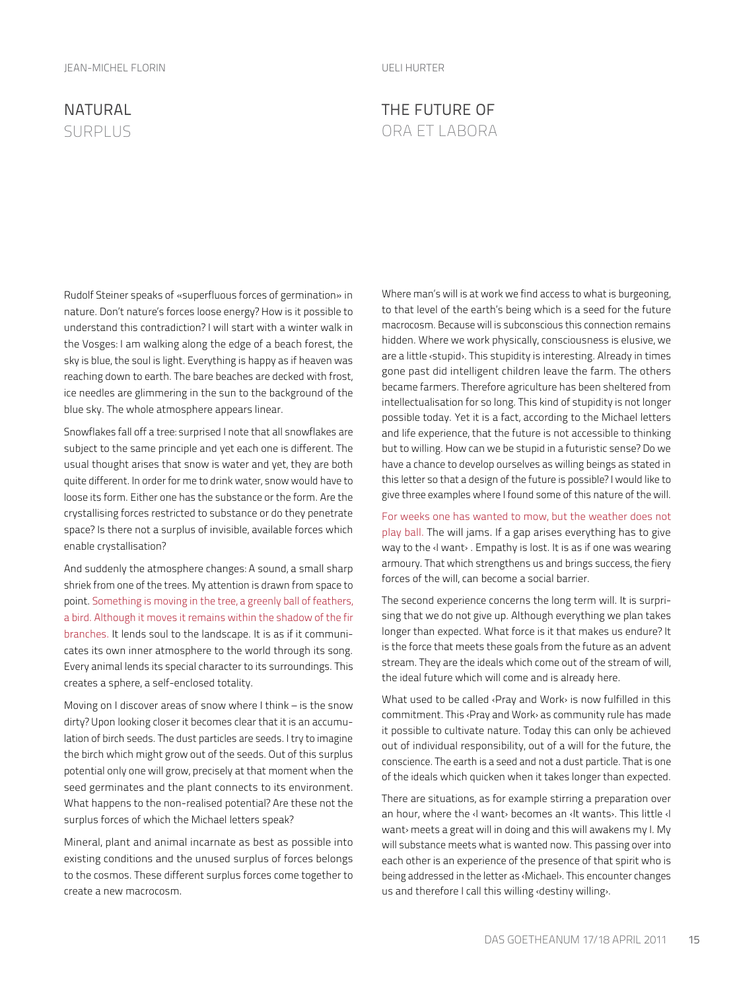#### natural surplus

Ueli Hurter

#### The Future of Ora et Labora

Rudolf Steiner speaks of «superfluous forces of germination» in nature. Don't nature's forces loose energy? How is it possible to understand this contradiction? I will start with a winter walk in the Vosges: I am walking along the edge of a beach forest, the sky is blue, the soul is light. Everything is happy as if heaven was reaching down to earth. The bare beaches are decked with frost, ice needles are glimmering in the sun to the background of the blue sky. The whole atmosphere appears linear.

Snowflakes fall off a tree: surprised I note that all snowflakes are subject to the same principle and yet each one is different. The usual thought arises that snow is water and yet, they are both quite different. In order for me to drink water, snow would have to loose its form. Either one has the substance or the form. Are the crystallising forces restricted to substance or do they penetrate space? Is there not a surplus of invisible, available forces which enable crystallisation?

And suddenly the atmosphere changes: A sound, a small sharp shriek from one of the trees. My attention is drawn from space to point. Something is moving in the tree, a greenly ball of feathers, a bird. Although it moves it remains within the shadow of the fir branches. It lends soul to the landscape. It is as if it communicates its own inner atmosphere to the world through its song. Every animal lends its special character to its surroundings. This creates a sphere, a self-enclosed totality.

Moving on I discover areas of snow where I think – is the snow dirty? Upon looking closer it becomes clear that it is an accumulation of birch seeds. The dust particles are seeds. I try to imagine the birch which might grow out of the seeds. Out of this surplus potential only one will grow, precisely at that moment when the seed germinates and the plant connects to its environment. What happens to the non-realised potential? Are these not the surplus forces of which the Michael letters speak?

Mineral, plant and animal incarnate as best as possible into existing conditions and the unused surplus of forces belongs to the cosmos. These different surplus forces come together to create a new macrocosm.

Where man's will is at work we find access to what is burgeoning, to that level of the earth's being which is a seed for the future macrocosm. Because will is subconscious this connection remains hidden. Where we work physically, consciousness is elusive, we are a little ‹stupid›. This stupidity is interesting. Already in times gone past did intelligent children leave the farm. The others became farmers. Therefore agriculture has been sheltered from intellectualisation for so long. This kind of stupidity is not longer possible today. Yet it is a fact, according to the Michael letters and life experience, that the future is not accessible to thinking but to willing. How can we be stupid in a futuristic sense? Do we have a chance to develop ourselves as willing beings as stated in this letter so that a design of the future is possible? I would like to give three examples where I found some of this nature of the will.

For weeks one has wanted to mow, but the weather does not play ball. The will jams. If a gap arises everything has to give way to the < I want > . Empathy is lost. It is as if one was wearing armoury. That which strengthens us and brings success, the fiery forces of the will, can become a social barrier.

The second experience concerns the long term will. It is surprising that we do not give up. Although everything we plan takes longer than expected. What force is it that makes us endure? It is the force that meets these goals from the future as an advent stream. They are the ideals which come out of the stream of will, the ideal future which will come and is already here.

What used to be called ‹Pray and Work› is now fulfilled in this commitment. This ‹Pray and Work› as community rule has made it possible to cultivate nature. Today this can only be achieved out of individual responsibility, out of a will for the future, the conscience. The earth is a seed and not a dust particle. That is one of the ideals which quicken when it takes longer than expected.

There are situations, as for example stirring a preparation over an hour, where the <l want> becomes an <lt wants>. This little <l want› meets a great will in doing and this will awakens my I. My will substance meets what is wanted now. This passing over into each other is an experience of the presence of that spirit who is being addressed in the letter as ‹Michael›. This encounter changes us and therefore I call this willing ‹destiny willing›.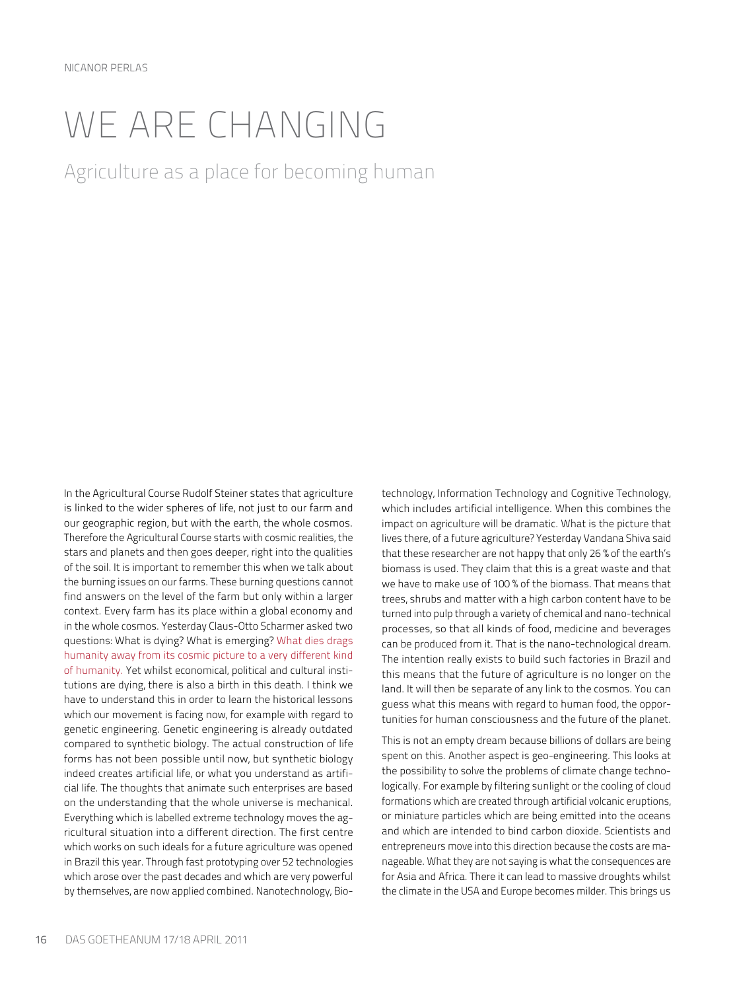### We Are Changing

Agriculture as a place for becoming human

In the Agricultural Course Rudolf Steiner states that agriculture is linked to the wider spheres of life, not just to our farm and our geographic region, but with the earth, the whole cosmos. Therefore the Agricultural Course starts with cosmic realities, the stars and planets and then goes deeper, right into the qualities of the soil. It is important to remember this when we talk about the burning issues on our farms. These burning questions cannot find answers on the level of the farm but only within a larger context. Every farm has its place within a global economy and in the whole cosmos. Yesterday Claus-Otto Scharmer asked two questions: What is dying? What is emerging? What dies drags humanity away from its cosmic picture to a very different kind of humanity. Yet whilst economical, political and cultural institutions are dying, there is also a birth in this death. I think we have to understand this in order to learn the historical lessons which our movement is facing now, for example with regard to genetic engineering. Genetic engineering is already outdated compared to synthetic biology. The actual construction of life forms has not been possible until now, but synthetic biology indeed creates artificial life, or what you understand as artificial life. The thoughts that animate such enterprises are based on the understanding that the whole universe is mechanical. Everything which is labelled extreme technology moves the agricultural situation into a different direction. The first centre which works on such ideals for a future agriculture was opened in Brazil this year. Through fast prototyping over 52 technologies which arose over the past decades and which are very powerful by themselves, are now applied combined. Nanotechnology, Biotechnology, Information Technology and Cognitive Technology, which includes artificial intelligence. When this combines the impact on agriculture will be dramatic. What is the picture that lives there, of a future agriculture? Yesterday Vandana Shiva said that these researcher are not happy that only 26 % of the earth's biomass is used. They claim that this is a great waste and that we have to make use of 100 % of the biomass. That means that trees, shrubs and matter with a high carbon content have to be turned into pulp through a variety of chemical and nano-technical processes, so that all kinds of food, medicine and beverages can be produced from it. That is the nano-technological dream. The intention really exists to build such factories in Brazil and this means that the future of agriculture is no longer on the land. It will then be separate of any link to the cosmos. You can guess what this means with regard to human food, the opportunities for human consciousness and the future of the planet.

This is not an empty dream because billions of dollars are being spent on this. Another aspect is geo-engineering. This looks at the possibility to solve the problems of climate change technologically. For example by filtering sunlight or the cooling of cloud formations which are created through artificial volcanic eruptions, or miniature particles which are being emitted into the oceans and which are intended to bind carbon dioxide. Scientists and entrepreneurs move into this direction because the costs are manageable. What they are not saying is what the consequences are for Asia and Africa. There it can lead to massive droughts whilst the climate in the USA and Europe becomes milder. This brings us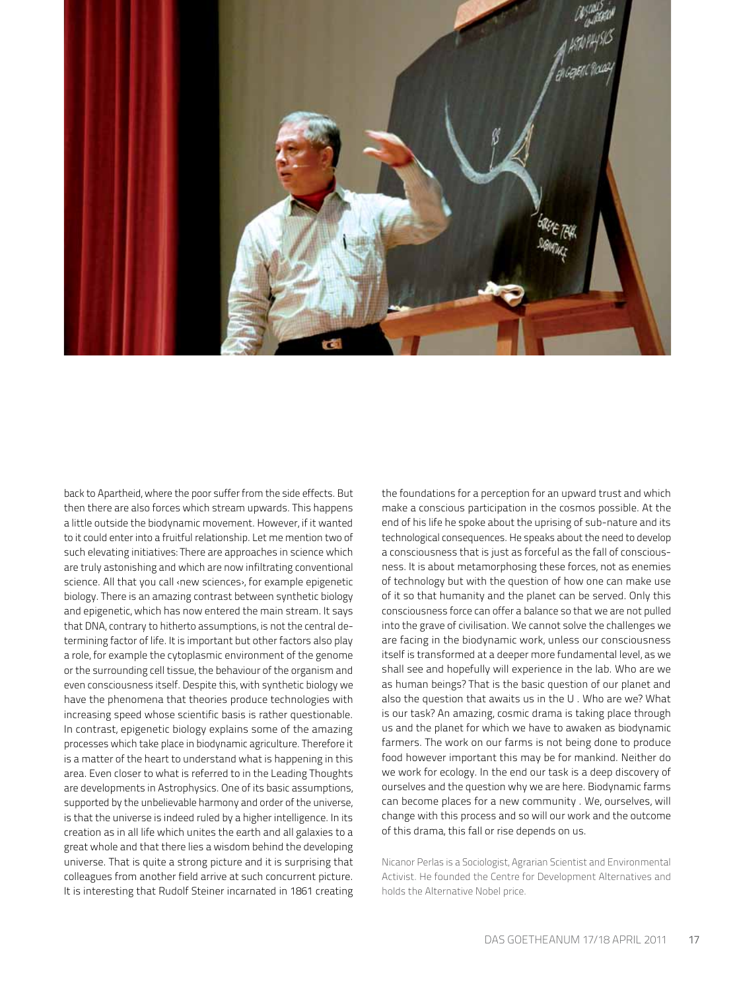

back to Apartheid, where the poor suffer from the side effects. But then there are also forces which stream upwards. This happens a little outside the biodynamic movement. However, if it wanted to it could enter into a fruitful relationship. Let me mention two of such elevating initiatives: There are approaches in science which are truly astonishing and which are now infiltrating conventional science. All that you call ‹new sciences›, for example epigenetic biology. There is an amazing contrast between synthetic biology and epigenetic, which has now entered the main stream. It says that DNA, contrary to hitherto assumptions, is not the central determining factor of life. It is important but other factors also play a role, for example the cytoplasmic environment of the genome or the surrounding cell tissue, the behaviour of the organism and even consciousness itself. Despite this, with synthetic biology we have the phenomena that theories produce technologies with increasing speed whose scientific basis is rather questionable. In contrast, epigenetic biology explains some of the amazing processes which take place in biodynamic agriculture. Therefore it is a matter of the heart to understand what is happening in this area. Even closer to what is referred to in the Leading Thoughts are developments in Astrophysics. One of its basic assumptions, supported by the unbelievable harmony and order of the universe, is that the universe is indeed ruled by a higher intelligence. In its creation as in all life which unites the earth and all galaxies to a great whole and that there lies a wisdom behind the developing universe. That is quite a strong picture and it is surprising that colleagues from another field arrive at such concurrent picture. It is interesting that Rudolf Steiner incarnated in 1861 creating the foundations for a perception for an upward trust and which make a conscious participation in the cosmos possible. At the end of his life he spoke about the uprising of sub-nature and its technological consequences. He speaks about the need to develop a consciousness that is just as forceful as the fall of consciousness. It is about metamorphosing these forces, not as enemies of technology but with the question of how one can make use of it so that humanity and the planet can be served. Only this consciousness force can offer a balance so that we are not pulled into the grave of civilisation. We cannot solve the challenges we are facing in the biodynamic work, unless our consciousness itself is transformed at a deeper more fundamental level, as we shall see and hopefully will experience in the lab. Who are we as human beings? That is the basic question of our planet and also the question that awaits us in the U . Who are we? What is our task? An amazing, cosmic drama is taking place through us and the planet for which we have to awaken as biodynamic farmers. The work on our farms is not being done to produce food however important this may be for mankind. Neither do we work for ecology. In the end our task is a deep discovery of ourselves and the question why we are here. Biodynamic farms can become places for a new community . We, ourselves, will change with this process and so will our work and the outcome of this drama, this fall or rise depends on us.

Nicanor Perlas is a Sociologist, Agrarian Scientist and Environmental Activist. He founded the Centre for Development Alternatives and holds the Alternative Nobel price.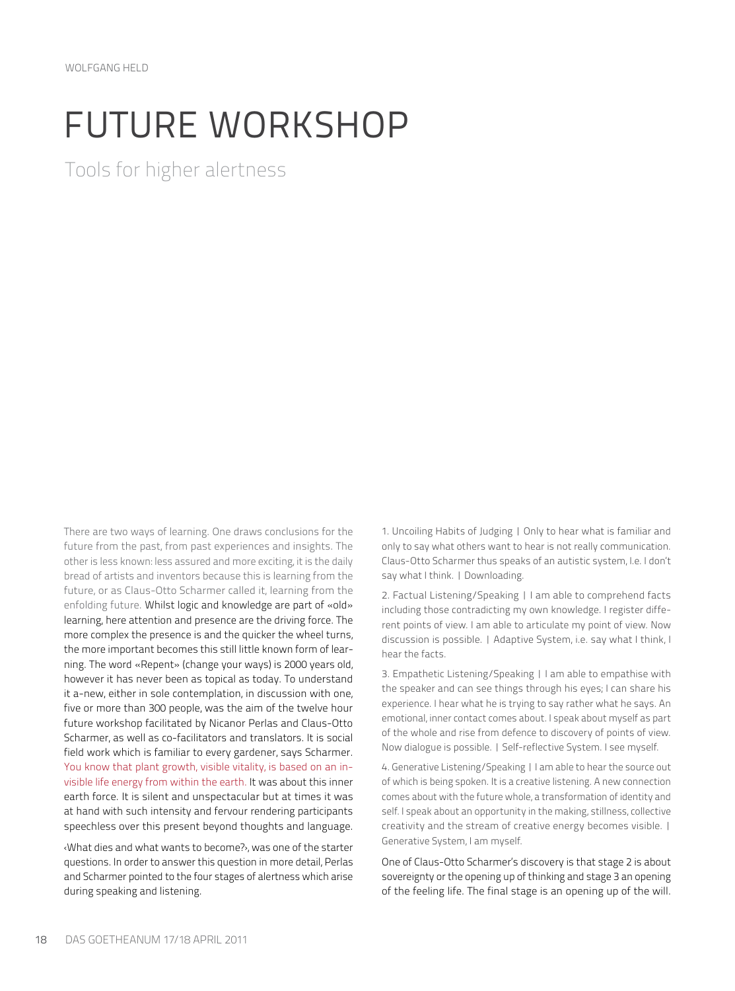### Future Workshop

Tools for higher alertness

There are two ways of learning. One draws conclusions for the future from the past, from past experiences and insights. The other is less known: less assured and more exciting, it is the daily bread of artists and inventors because this is learning from the future, or as Claus-Otto Scharmer called it, learning from the enfolding future. Whilst logic and knowledge are part of «old» learning, here attention and presence are the driving force. The more complex the presence is and the quicker the wheel turns, the more important becomes this still little known form of learning. The word «Repent» (change your ways) is 2000 years old, however it has never been as topical as today. To understand it a-new, either in sole contemplation, in discussion with one, five or more than 300 people, was the aim of the twelve hour future workshop facilitated by Nicanor Perlas and Claus-Otto Scharmer, as well as co-facilitators and translators. It is social field work which is familiar to every gardener, says Scharmer. You know that plant growth, visible vitality, is based on an invisible life energy from within the earth. It was about this inner earth force. It is silent and unspectacular but at times it was at hand with such intensity and fervour rendering participants speechless over this present beyond thoughts and language.

‹What dies and what wants to become?›, was one of the starter questions. In order to answer this question in more detail, Perlas and Scharmer pointed to the four stages of alertness which arise during speaking and listening.

1. Uncoiling Habits of Judging | Only to hear what is familiar and only to say what others want to hear is not really communication. Claus-Otto Scharmer thus speaks of an autistic system, I.e. I don't say what I think. | Downloading.

2. Factual Listening/Speaking | I am able to comprehend facts including those contradicting my own knowledge. I register different points of view. I am able to articulate my point of view. Now discussion is possible. | Adaptive System, i.e. say what I think, I hear the facts.

3. Empathetic Listening/Speaking | I am able to empathise with the speaker and can see things through his eyes; I can share his experience. I hear what he is trying to say rather what he says. An emotional, inner contact comes about. I speak about myself as part of the whole and rise from defence to discovery of points of view. Now dialogue is possible. | Self-reflective System. I see myself.

4. Generative Listening/Speaking | I am able to hear the source out of which is being spoken. It is a creative listening. A new connection comes about with the future whole, a transformation of identity and self. I speak about an opportunity in the making, stillness, collective creativity and the stream of creative energy becomes visible. | Generative System, I am myself.

One of Claus-Otto Scharmer's discovery is that stage 2 is about sovereignty or the opening up of thinking and stage 3 an opening of the feeling life. The final stage is an opening up of the will.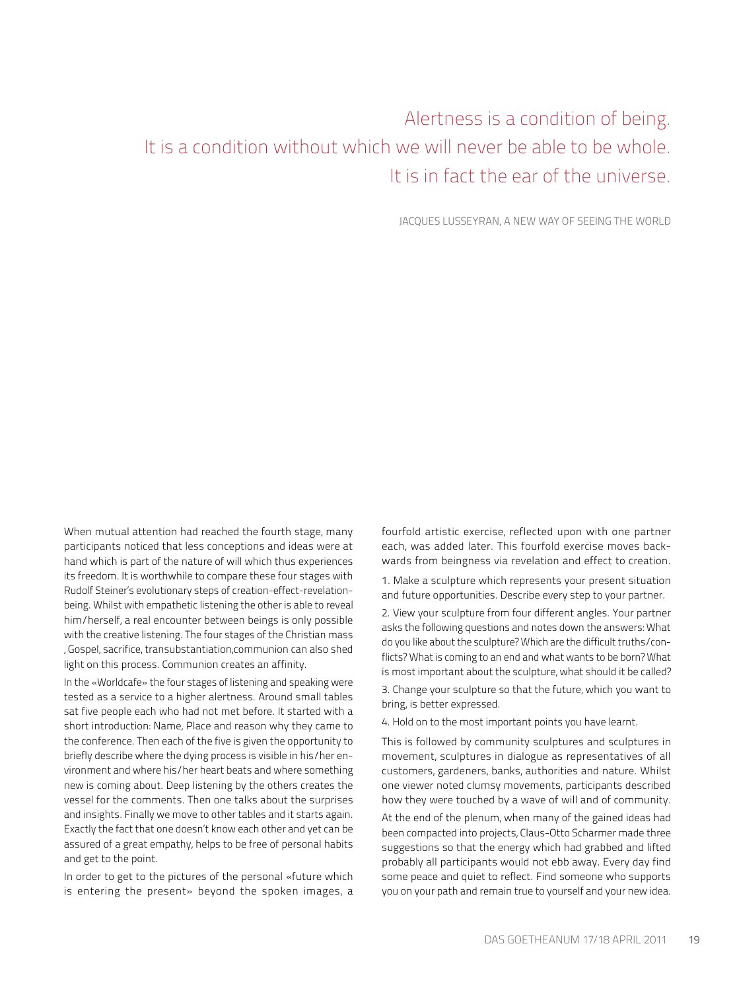#### Alertness is a condition of being. It is a condition without which we will never be able to be whole. It is in fact the ear of the universe.

Jacques Lusseyran, A new way of seeing the world

When mutual attention had reached the fourth stage, many participants noticed that less conceptions and ideas were at hand which is part of the nature of will which thus experiences its freedom. It is worthwhile to compare these four stages with Rudolf Steiner's evolutionary steps of creation-effect-revelationbeing. Whilst with empathetic listening the other is able to reveal him/herself, a real encounter between beings is only possible with the creative listening. The four stages of the Christian mass , Gospel, sacrifice, transubstantiation,communion can also shed light on this process. Communion creates an affinity.

In the «Worldcafe» the four stages of listening and speaking were tested as a service to a higher alertness. Around small tables sat five people each who had not met before. It started with a short introduction: Name, Place and reason why they came to the conference. Then each of the five is given the opportunity to briefly describe where the dying process is visible in his/her environment and where his/her heart beats and where something new is coming about. Deep listening by the others creates the vessel for the comments. Then one talks about the surprises and insights. Finally we move to other tables and it starts again. Exactly the fact that one doesn't know each other and yet can be assured of a great empathy, helps to be free of personal habits and get to the point.

In order to get to the pictures of the personal «future which is entering the present» beyond the spoken images, a

fourfold artistic exercise, reflected upon with one partner each, was added later. This fourfold exercise moves backwards from beingness via revelation and effect to creation.

1. Make a sculpture which represents your present situation and future opportunities. Describe every step to your partner.

2. View your sculpture from four different angles. Your partner asks the following questions and notes down the answers: What do you like about the sculpture? Which are the difficult truths/conflicts? What is coming to an end and what wants to be born? What is most important about the sculpture, what should it be called?

3. Change your sculpture so that the future, which you want to bring, is better expressed.

4. Hold on to the most important points you have learnt.

This is followed by community sculptures and sculptures in movement, sculptures in dialogue as representatives of all customers, gardeners, banks, authorities and nature. Whilst one viewer noted clumsy movements, participants described how they were touched by a wave of will and of community.

At the end of the plenum, when many of the gained ideas had been compacted into projects, Claus-Otto Scharmer made three suggestions so that the energy which had grabbed and lifted probably all participants would not ebb away. Every day find some peace and quiet to reflect. Find someone who supports you on your path and remain true to yourself and your new idea.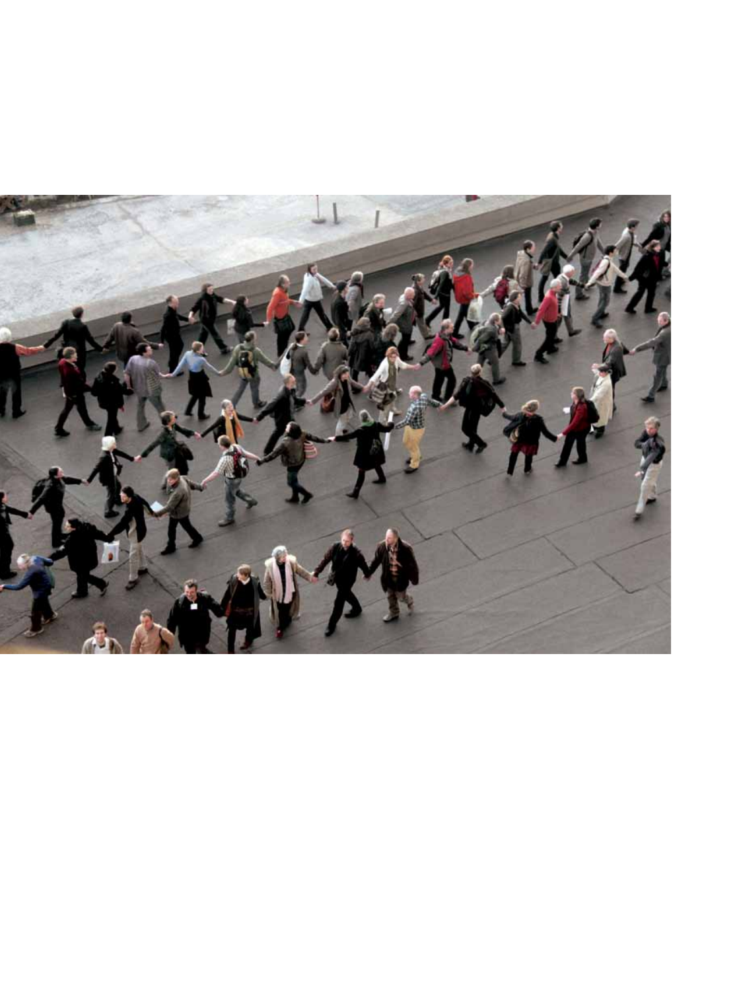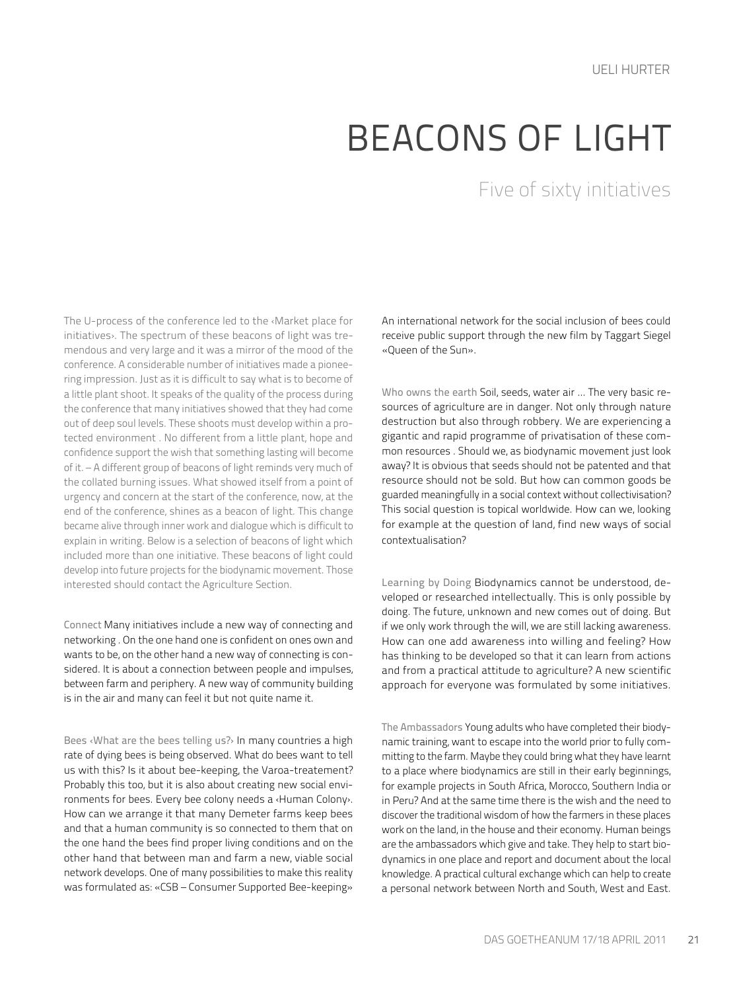### Beacons of Light

#### Five of sixty initiatives

The U-process of the conference led to the ‹Market place for initiatives›. The spectrum of these beacons of light was tremendous and very large and it was a mirror of the mood of the conference. A considerable number of initiatives made a pioneering impression. Just as it is difficult to say what is to become of a little plant shoot. It speaks of the quality of the process during the conference that many initiatives showed that they had come out of deep soul levels. These shoots must develop within a protected environment . No different from a little plant, hope and confidence support the wish that something lasting will become of it. – A different group of beacons of light reminds very much of the collated burning issues. What showed itself from a point of urgency and concern at the start of the conference, now, at the end of the conference, shines as a beacon of light. This change became alive through inner work and dialogue which is difficult to explain in writing. Below is a selection of beacons of light which included more than one initiative. These beacons of light could develop into future projects for the biodynamic movement. Those interested should contact the Agriculture Section.

Connect Many initiatives include a new way of connecting and networking . On the one hand one is confident on ones own and wants to be, on the other hand a new way of connecting is considered. It is about a connection between people and impulses, between farm and periphery. A new way of community building is in the air and many can feel it but not quite name it.

Bees ‹What are the bees telling us?› In many countries a high rate of dying bees is being observed. What do bees want to tell us with this? Is it about bee-keeping, the Varoa-treatement? Probably this too, but it is also about creating new social environments for bees. Every bee colony needs a ‹Human Colony›. How can we arrange it that many Demeter farms keep bees and that a human community is so connected to them that on the one hand the bees find proper living conditions and on the other hand that between man and farm a new, viable social network develops. One of many possibilities to make this reality was formulated as: «CSB – Consumer Supported Bee-keeping»

An international network for the social inclusion of bees could receive public support through the new film by Taggart Siegel «Queen of the Sun».

Who owns the earth Soil, seeds, water air … The very basic resources of agriculture are in danger. Not only through nature destruction but also through robbery. We are experiencing a gigantic and rapid programme of privatisation of these common resources . Should we, as biodynamic movement just look away? It is obvious that seeds should not be patented and that resource should not be sold. But how can common goods be guarded meaningfully in a social context without collectivisation? This social question is topical worldwide. How can we, looking for example at the question of land, find new ways of social contextualisation?

Learning by Doing Biodynamics cannot be understood, developed or researched intellectually. This is only possible by doing. The future, unknown and new comes out of doing. But if we only work through the will, we are still lacking awareness. How can one add awareness into willing and feeling? How has thinking to be developed so that it can learn from actions and from a practical attitude to agriculture? A new scientific approach for everyone was formulated by some initiatives.

The Ambassadors Young adults who have completed their biodynamic training, want to escape into the world prior to fully committing to the farm. Maybe they could bring what they have learnt to a place where biodynamics are still in their early beginnings, for example projects in South Africa, Morocco, Southern India or in Peru? And at the same time there is the wish and the need to discover the traditional wisdom of how the farmers in these places work on the land, in the house and their economy. Human beings are the ambassadors which give and take. They help to start biodynamics in one place and report and document about the local knowledge. A practical cultural exchange which can help to create a personal network between North and South, West and East.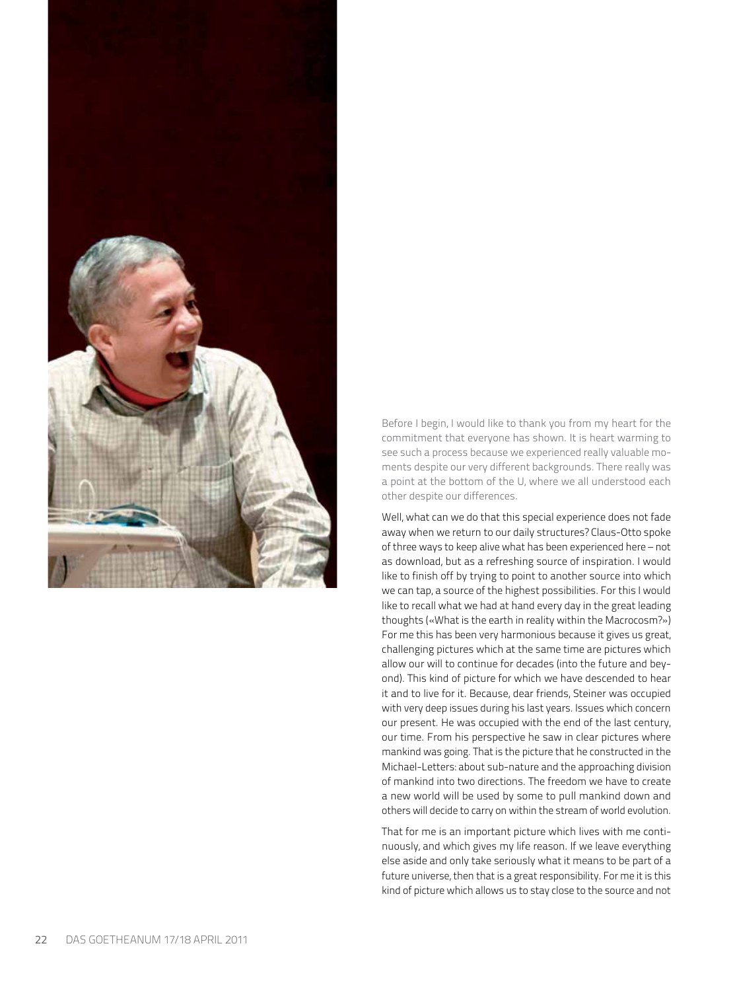

Before I begin, I would like to thank you from my heart for the commitment that everyone has shown. It is heart warming to see such a process because we experienced really valuable moments despite our very different backgrounds. There really was a point at the bottom of the U, where we all understood each other despite our differences.

Well, what can we do that this special experience does not fade away when we return to our daily structures? Claus-Otto spoke of three ways to keep alive what has been experienced here – not as download, but as a refreshing source of inspiration. I would like to finish off by trying to point to another source into which we can tap, a source of the highest possibilities. For this I would like to recall what we had at hand every day in the great leading thoughts («What is the earth in reality within the Macrocosm?») For me this has been very harmonious because it gives us great, challenging pictures which at the same time are pictures which allow our will to continue for decades (into the future and beyond). This kind of picture for which we have descended to hear it and to live for it. Because, dear friends, Steiner was occupied with very deep issues during his last years. Issues which concern our present. He was occupied with the end of the last century, our time. From his perspective he saw in clear pictures where mankind was going. That is the picture that he constructed in the Michael-Letters: about sub-nature and the approaching division of mankind into two directions. The freedom we have to create a new world will be used by some to pull mankind down and others will decide to carry on within the stream of world evolution.

That for me is an important picture which lives with me continuously, and which gives my life reason. If we leave everything else aside and only take seriously what it means to be part of a future universe, then that is a great responsibility. For me it is this kind of picture which allows us to stay close to the source and not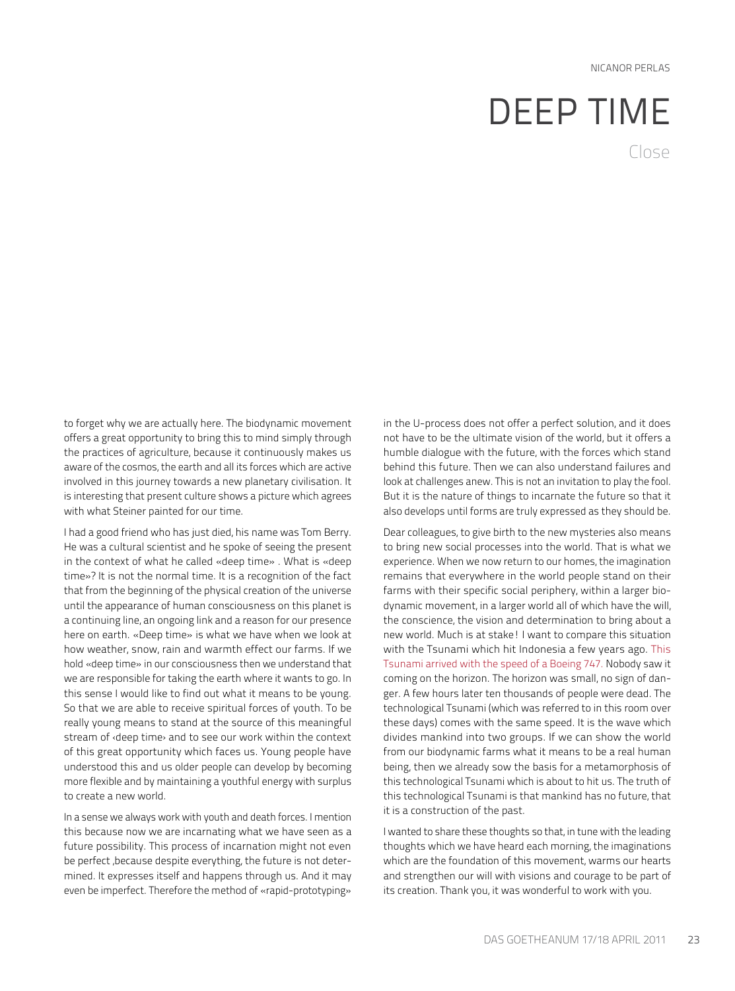#### deep time

Close

to forget why we are actually here. The biodynamic movement offers a great opportunity to bring this to mind simply through the practices of agriculture, because it continuously makes us aware of the cosmos, the earth and all its forces which are active involved in this journey towards a new planetary civilisation. It is interesting that present culture shows a picture which agrees with what Steiner painted for our time.

I had a good friend who has just died, his name was Tom Berry. He was a cultural scientist and he spoke of seeing the present in the context of what he called «deep time» . What is «deep time»? It is not the normal time. It is a recognition of the fact that from the beginning of the physical creation of the universe until the appearance of human consciousness on this planet is a continuing line, an ongoing link and a reason for our presence here on earth. «Deep time» is what we have when we look at how weather, snow, rain and warmth effect our farms. If we hold «deep time» in our consciousness then we understand that we are responsible for taking the earth where it wants to go. In this sense I would like to find out what it means to be young. So that we are able to receive spiritual forces of youth. To be really young means to stand at the source of this meaningful stream of ‹deep time› and to see our work within the context of this great opportunity which faces us. Young people have understood this and us older people can develop by becoming more flexible and by maintaining a youthful energy with surplus to create a new world.

In a sense we always work with youth and death forces. I mention this because now we are incarnating what we have seen as a future possibility. This process of incarnation might not even be perfect ,because despite everything, the future is not determined. It expresses itself and happens through us. And it may even be imperfect. Therefore the method of «rapid-prototyping»

in the U-process does not offer a perfect solution, and it does not have to be the ultimate vision of the world, but it offers a humble dialogue with the future, with the forces which stand behind this future. Then we can also understand failures and look at challenges anew. This is not an invitation to play the fool. But it is the nature of things to incarnate the future so that it also develops until forms are truly expressed as they should be.

Dear colleagues, to give birth to the new mysteries also means to bring new social processes into the world. That is what we experience. When we now return to our homes, the imagination remains that everywhere in the world people stand on their farms with their specific social periphery, within a larger biodynamic movement, in a larger world all of which have the will, the conscience, the vision and determination to bring about a new world. Much is at stake! I want to compare this situation with the Tsunami which hit Indonesia a few years ago. This Tsunami arrived with the speed of a Boeing 747. Nobody saw it coming on the horizon. The horizon was small, no sign of danger. A few hours later ten thousands of people were dead. The technological Tsunami (which was referred to in this room over these days) comes with the same speed. It is the wave which divides mankind into two groups. If we can show the world from our biodynamic farms what it means to be a real human being, then we already sow the basis for a metamorphosis of this technological Tsunami which is about to hit us. The truth of this technological Tsunami is that mankind has no future, that it is a construction of the past.

I wanted to share these thoughts so that, in tune with the leading thoughts which we have heard each morning, the imaginations which are the foundation of this movement, warms our hearts and strengthen our will with visions and courage to be part of its creation. Thank you, it was wonderful to work with you.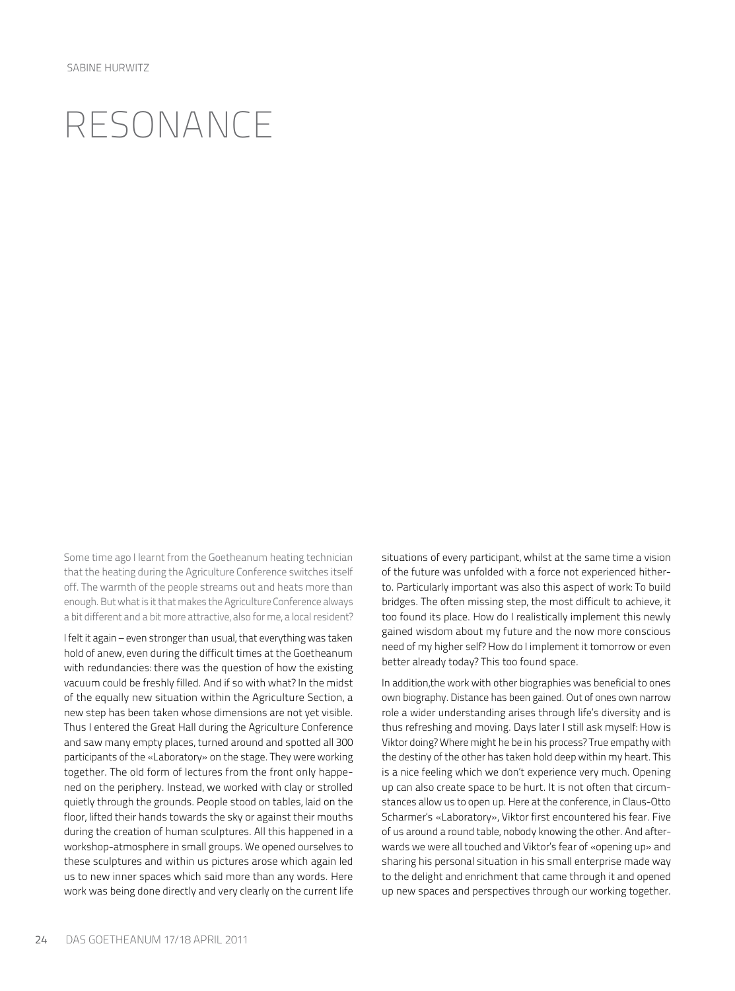#### Resonance

Some time ago I learnt from the Goetheanum heating technician that the heating during the Agriculture Conference switches itself off. The warmth of the people streams out and heats more than enough. But what is it that makes the Agriculture Conference always a bit different and a bit more attractive, also for me, a local resident?

I felt it again – even stronger than usual, that everything was taken hold of anew, even during the difficult times at the Goetheanum with redundancies: there was the question of how the existing vacuum could be freshly filled. And if so with what? In the midst of the equally new situation within the Agriculture Section, a new step has been taken whose dimensions are not yet visible. Thus I entered the Great Hall during the Agriculture Conference and saw many empty places, turned around and spotted all 300 participants of the «Laboratory» on the stage. They were working together. The old form of lectures from the front only happened on the periphery. Instead, we worked with clay or strolled quietly through the grounds. People stood on tables, laid on the floor, lifted their hands towards the sky or against their mouths during the creation of human sculptures. All this happened in a workshop-atmosphere in small groups. We opened ourselves to these sculptures and within us pictures arose which again led us to new inner spaces which said more than any words. Here work was being done directly and very clearly on the current life situations of every participant, whilst at the same time a vision of the future was unfolded with a force not experienced hitherto. Particularly important was also this aspect of work: To build bridges. The often missing step, the most difficult to achieve, it too found its place. How do I realistically implement this newly gained wisdom about my future and the now more conscious need of my higher self? How do I implement it tomorrow or even better already today? This too found space.

In addition,the work with other biographies was beneficial to ones own biography. Distance has been gained. Out of ones own narrow role a wider understanding arises through life's diversity and is thus refreshing and moving. Days later I still ask myself: How is Viktor doing? Where might he be in his process? True empathy with the destiny of the other has taken hold deep within my heart. This is a nice feeling which we don't experience very much. Opening up can also create space to be hurt. It is not often that circumstances allow us to open up. Here at the conference, in Claus-Otto Scharmer's «Laboratory», Viktor first encountered his fear. Five of us around a round table, nobody knowing the other. And afterwards we were all touched and Viktor's fear of «opening up» and sharing his personal situation in his small enterprise made way to the delight and enrichment that came through it and opened up new spaces and perspectives through our working together.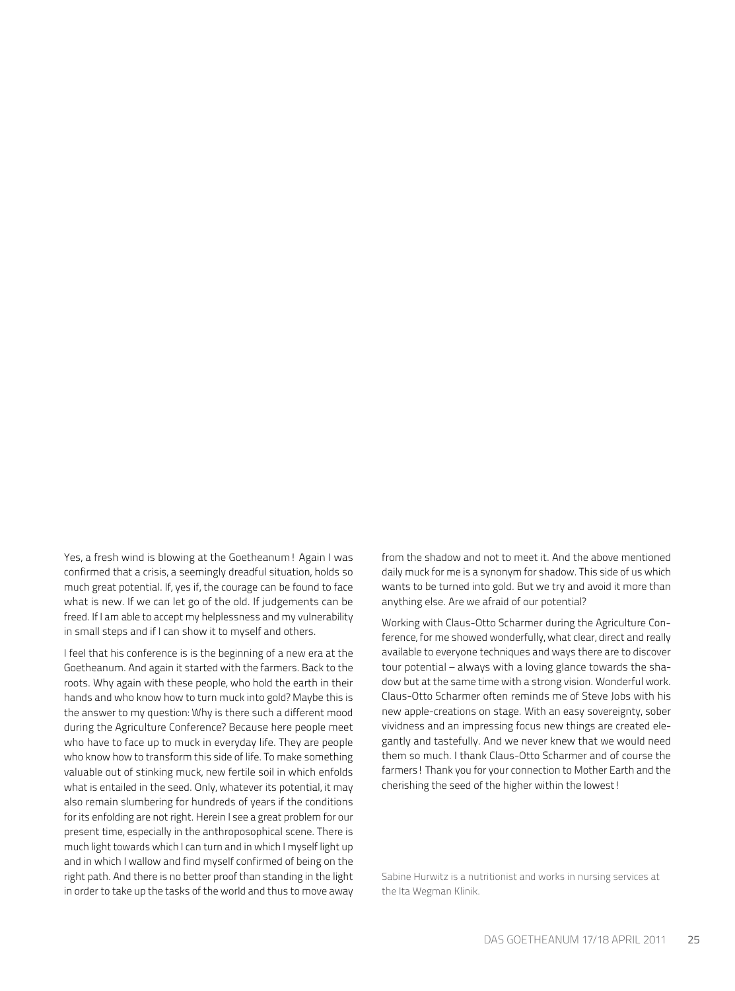Yes, a fresh wind is blowing at the Goetheanum! Again I was confirmed that a crisis, a seemingly dreadful situation, holds so much great potential. If, yes if, the courage can be found to face what is new. If we can let go of the old. If judgements can be freed. If I am able to accept my helplessness and my vulnerability in small steps and if I can show it to myself and others.

I feel that his conference is is the beginning of a new era at the Goetheanum. And again it started with the farmers. Back to the roots. Why again with these people, who hold the earth in their hands and who know how to turn muck into gold? Maybe this is the answer to my question: Why is there such a different mood during the Agriculture Conference? Because here people meet who have to face up to muck in everyday life. They are people who know how to transform this side of life. To make something valuable out of stinking muck, new fertile soil in which enfolds what is entailed in the seed. Only, whatever its potential, it may also remain slumbering for hundreds of years if the conditions for its enfolding are not right. Herein I see a great problem for our present time, especially in the anthroposophical scene. There is much light towards which I can turn and in which I myself light up and in which I wallow and find myself confirmed of being on the right path. And there is no better proof than standing in the light in order to take up the tasks of the world and thus to move away from the shadow and not to meet it. And the above mentioned daily muck for me is a synonym for shadow. This side of us which wants to be turned into gold. But we try and avoid it more than anything else. Are we afraid of our potential?

Working with Claus-Otto Scharmer during the Agriculture Conference, for me showed wonderfully, what clear, direct and really available to everyone techniques and ways there are to discover tour potential – always with a loving glance towards the shadow but at the same time with a strong vision. Wonderful work. Claus-Otto Scharmer often reminds me of Steve Jobs with his new apple-creations on stage. With an easy sovereignty, sober vividness and an impressing focus new things are created elegantly and tastefully. And we never knew that we would need them so much. I thank Claus-Otto Scharmer and of course the farmers! Thank you for your connection to Mother Earth and the cherishing the seed of the higher within the lowest!

Sabine Hurwitz is a nutritionist and works in nursing services at the Ita Wegman Klinik.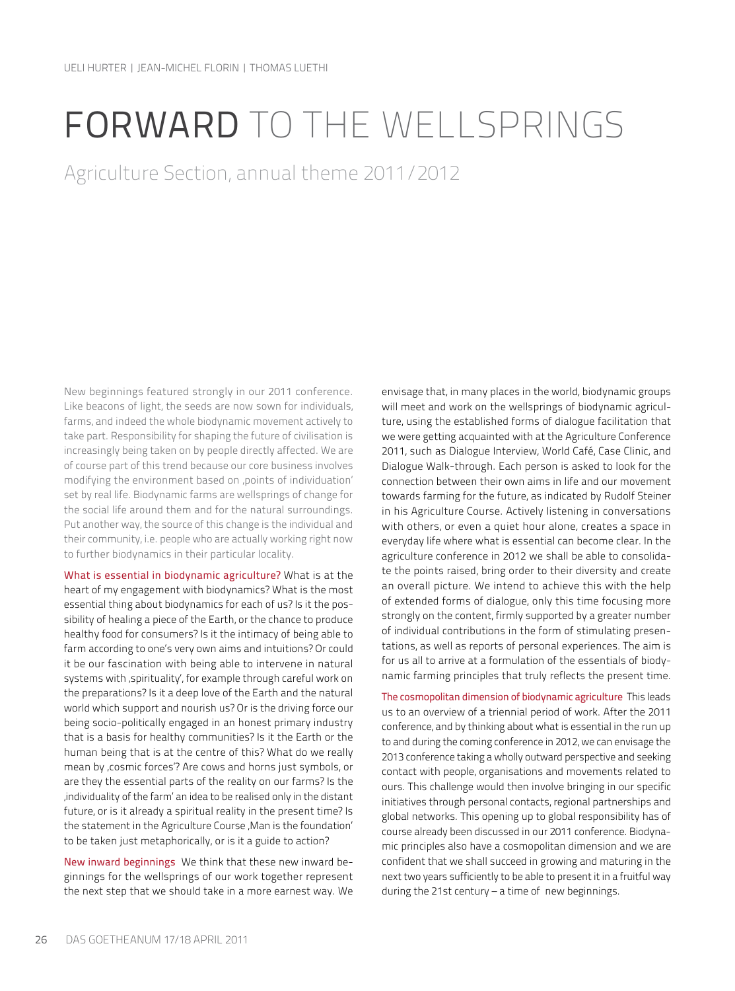### forward to The wellsprings

#### Agriculture Section, annual theme 2011/2012

New beginnings featured strongly in our 2011 conference. Like beacons of light, the seeds are now sown for individuals, farms, and indeed the whole biodynamic movement actively to take part. Responsibility for shaping the future of civilisation is increasingly being taken on by people directly affected. We are of course part of this trend because our core business involves modifying the environment based on ,points of individuation' set by real life. Biodynamic farms are wellsprings of change for the social life around them and for the natural surroundings. Put another way, the source of this change is the individual and their community, i.e. people who are actually working right now to further biodynamics in their particular locality.

What is essential in biodynamic agriculture? What is at the heart of my engagement with biodynamics? What is the most essential thing about biodynamics for each of us? Is it the possibility of healing a piece of the Earth, or the chance to produce healthy food for consumers? Is it the intimacy of being able to farm according to one's very own aims and intuitions? Or could it be our fascination with being able to intervene in natural systems with ,spirituality', for example through careful work on the preparations? Is it a deep love of the Earth and the natural world which support and nourish us? Or is the driving force our being socio-politically engaged in an honest primary industry that is a basis for healthy communities? Is it the Earth or the human being that is at the centre of this? What do we really mean by ,cosmic forces'? Are cows and horns just symbols, or are they the essential parts of the reality on our farms? Is the 'individuality of the farm' an idea to be realised only in the distant future, or is it already a spiritual reality in the present time? Is the statement in the Agriculture Course , Man is the foundation' to be taken just metaphorically, or is it a guide to action?

New inward beginnings We think that these new inward beginnings for the wellsprings of our work together represent the next step that we should take in a more earnest way. We envisage that, in many places in the world, biodynamic groups will meet and work on the wellsprings of biodynamic agriculture, using the established forms of dialogue facilitation that we were getting acquainted with at the Agriculture Conference 2011, such as Dialogue Interview, World Café, Case Clinic, and Dialogue Walk-through. Each person is asked to look for the connection between their own aims in life and our movement towards farming for the future, as indicated by Rudolf Steiner in his Agriculture Course. Actively listening in conversations with others, or even a quiet hour alone, creates a space in everyday life where what is essential can become clear. In the agriculture conference in 2012 we shall be able to consolidate the points raised, bring order to their diversity and create an overall picture. We intend to achieve this with the help of extended forms of dialogue, only this time focusing more strongly on the content, firmly supported by a greater number of individual contributions in the form of stimulating presentations, as well as reports of personal experiences. The aim is for us all to arrive at a formulation of the essentials of biodynamic farming principles that truly reflects the present time.

The cosmopolitan dimension of biodynamic agriculture This leads us to an overview of a triennial period of work. After the 2011 conference, and by thinking about what is essential in the run up to and during the coming conference in 2012, we can envisage the 2013 conference taking a wholly outward perspective and seeking contact with people, organisations and movements related to ours. This challenge would then involve bringing in our specific initiatives through personal contacts, regional partnerships and global networks. This opening up to global responsibility has of course already been discussed in our 2011 conference. Biodynamic principles also have a cosmopolitan dimension and we are confident that we shall succeed in growing and maturing in the next two years sufficiently to be able to present it in a fruitful way during the 21st century – a time of new beginnings.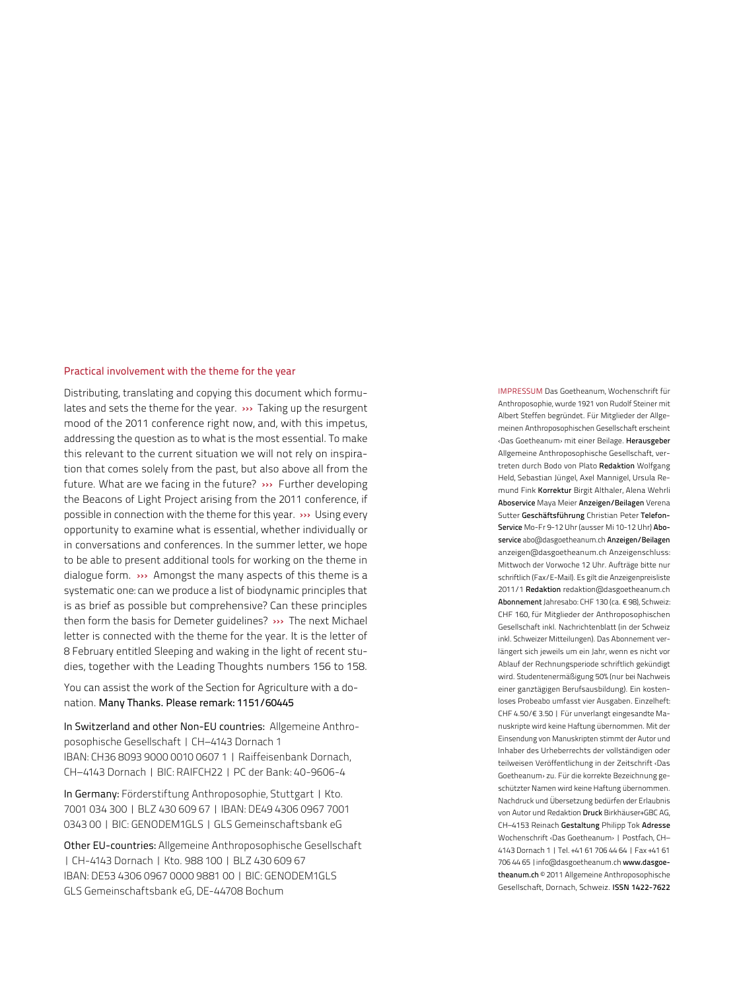#### Practical involvement with the theme for the year

Distributing, translating and copying this document which formu lates and sets the theme for the year. ››› Taking up the resurgent mood of the 2011 conference right now, and, with this impetus, addressing the question as to what is the most essential. To make this relevant to the current situation we will not rely on inspira tion that comes solely from the past, but also above all from the future. What are we facing in the future? ››› Further developing the Beacons of Light Project arising from the 2011 conference, if possible in connection with the theme for this year. ››› Using every opportunity to examine what is essential, whether individually or in conversations and conferences. In the summer letter, we hope to be able to present additional tools for working on the theme in dialogue form. ››› Amongst the many aspects of this theme is a systematic one: can we produce a list of biodynamic principles that is as brief as possible but comprehensive? Can these principles then form the basis for Demeter guidelines? ››› The next Michael letter is connected with the theme for the year. It is the letter of 8 February entitled Sleeping and waking in the light of recent stu dies, together with the Leading Thoughts numbers 156 to 158.

You can assist the work of the Section for Agriculture with a do nation. Many Thanks. Please remark: 1151/60445

In Switzerland and other Non-EU countries: Allgemeine Anthro posophische Gesellschaft | CH–4143 Dornach 1 IBAN: CH36 8093 9000 0010 0607 1 | Raiffeisenbank Dornach, CH–4143 Dornach | BIC: RAIFCH22 | PC der Bank: 40-9606-4

In Germany: Förderstiftung Anthroposophie, Stuttgart | Kto. 7001 034 300 | BLZ 430 609 67 | IBAN: DE49 4306 0967 7001 0343 00 | BIC: GENODEM1GLS | GLS Gemeinschaftsbank eG

Other EU-countries: Allgemeine Anthroposophische Gesellschaft | CH-4143 Dornach | Kto. 988 100 | BLZ 430 609 67 IBAN: DE53 4306 0967 0000 9881 00 | BIC: GENODEM1GLS GLS Gemeinschaftsbank eG, DE-44708 Bochum

Impressum Das Goetheanum, Wochenschrift für Anthroposophie, wurde 1921 von Rudolf Steiner mit Albert Steffen begründet. Für Mitglieder der Allge meinen Anthroposophischen Gesellschaft erscheint ‹ Das Goetheanum› mit einer Beilage. Herausgeber Allgemeine Anthroposophische Gesellschaft, ver treten durch Bodo von Plato Redaktion Wolfgang Held, Sebastian Jüngel, Axel Mannigel, Ursula R e mund Fink Korrektur Birgit Althaler, Alena Wehrli Aboservice Maya Meier Anzeigen/Beilagen Verena Sutter Geschäftsführung Christian Peter Telefon-Service Mo-Fr 9-12 Uhr (ausser Mi 10-12 Uhr) Aboservice abo@dasgoetheanum.ch Anzeigen/Beilagen anzeigen@dasgoetheanum.ch Anzeigenschluss: Mittwoch der Vorwoche 12 Uhr. Aufträge bitte nur schriftlich ( Fax/ E-Mail). Es gilt die Anzeigenpreisliste 2011/1 Redaktion redaktion@dasgoetheanum.ch Abonnement Jahresabo: CHF 130 (ca. € 98), Schweiz: CHF 160, für Mitglieder der Anthroposophischen Gesellschaft inkl. Nachrichtenblatt (in der Schweiz inkl. Schweizer Mitteilungen). Das Abonnement ver längert sich jeweils um ein Jahr, wenn es nicht vor Ablauf der Rechnungsperiode schriftlich gekündigt wird. Studentenermäßigung 50% (nur bei Nachweis einer ganztägigen Berufsausbildung). Ein kosten loses Probeabo umfasst vier Ausgaben. Einzelheft: CHF 4.50/€ 3.50 | Für unverlangt eingesandte Ma nuskripte wird keine Haftung übernommen. Mit der Einsendung von Manuskripten stimmt der Autor und Inhaber des Urheberrechts der vollständigen oder teilweisen Veröffentlichung in der Zeitschrift ‹ Das Goetheanum› zu. Für die korrekte Bezeichnung ge schützter Namen wird keine Haftung übernommen. Nachdruck und Übersetzung bedürfen der Erlaubnis von Autor und Redaktion Druck Birkhäuser+ G B C AG, CH-4153 Reinach Gestaltung Philipp Tok Adresse Wochenschrift ‹ Das Goetheanum› | Postfach, CH – 4143 Dornach 1 | Tel. +41 61 706 44 64 | Fax +41 61 706 44 65 | info@dasgoetheanum.ch www.dasgoetheanum.ch © 2011 Allgemeine Anthroposophische Gesellschaft, Dornach, Schweiz. ISSN 1422-7622